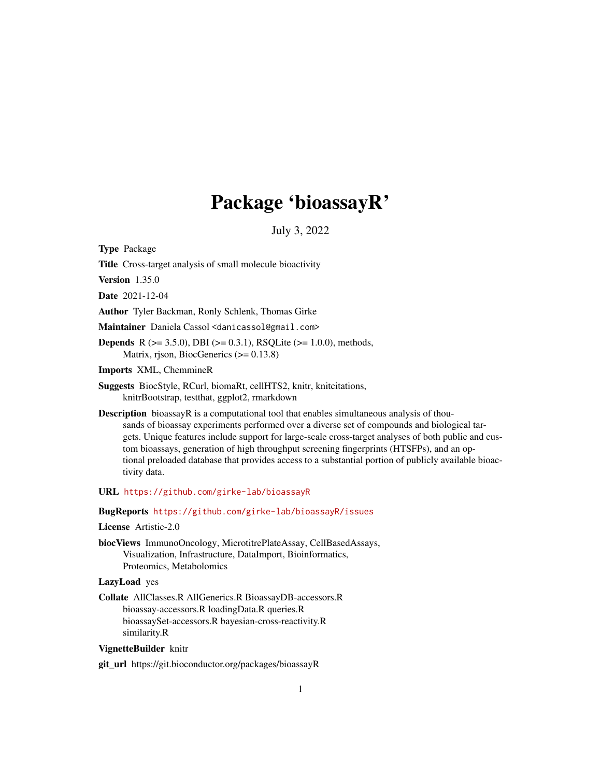# Package 'bioassayR'

July 3, 2022

<span id="page-0-0"></span>Type Package

Title Cross-target analysis of small molecule bioactivity

Version 1.35.0

Date 2021-12-04

Author Tyler Backman, Ronly Schlenk, Thomas Girke

Maintainer Daniela Cassol <danicassol@gmail.com>

**Depends** R ( $>= 3.5.0$ ), DBI ( $>= 0.3.1$ ), RSQLite ( $>= 1.0.0$ ), methods, Matrix, rjson, BiocGenerics (>= 0.13.8)

Imports XML, ChemmineR

Suggests BiocStyle, RCurl, biomaRt, cellHTS2, knitr, knitcitations, knitrBootstrap, testthat, ggplot2, rmarkdown

**Description** bioassayR is a computational tool that enables simultaneous analysis of thousands of bioassay experiments performed over a diverse set of compounds and biological targets. Unique features include support for large-scale cross-target analyses of both public and custom bioassays, generation of high throughput screening fingerprints (HTSFPs), and an optional preloaded database that provides access to a substantial portion of publicly available bioactivity data.

URL <https://github.com/girke-lab/bioassayR>

BugReports <https://github.com/girke-lab/bioassayR/issues>

License Artistic-2.0

biocViews ImmunoOncology, MicrotitrePlateAssay, CellBasedAssays, Visualization, Infrastructure, DataImport, Bioinformatics, Proteomics, Metabolomics

LazyLoad yes

Collate AllClasses.R AllGenerics.R BioassayDB-accessors.R bioassay-accessors.R loadingData.R queries.R bioassaySet-accessors.R bayesian-cross-reactivity.R similarity.R

## VignetteBuilder knitr

git\_url https://git.bioconductor.org/packages/bioassayR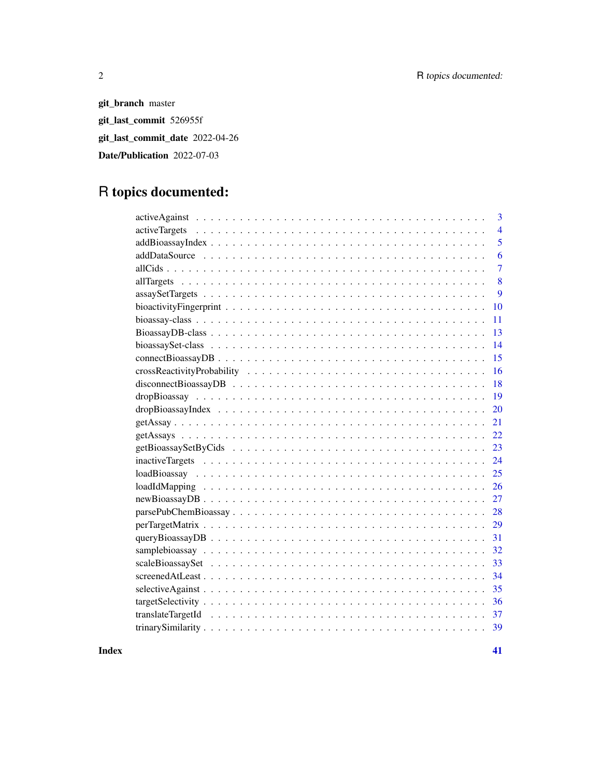git\_branch master git\_last\_commit 526955f git\_last\_commit\_date 2022-04-26 Date/Publication 2022-07-03

## R topics documented:

| 3              |
|----------------|
| $\overline{4}$ |
| 5              |
| 6              |
| $\overline{7}$ |
| 8              |
| 9              |
| 10             |
| 11             |
| 13             |
| 14             |
| 15             |
| 16             |
| 18             |
|                |
| <b>20</b>      |
| 21             |
| 22             |
| 23             |
|                |
| 25             |
| 26             |
| 27             |
|                |
| 29             |
| 31             |
| 32             |
|                |
| 34             |
| 35             |
|                |
|                |
|                |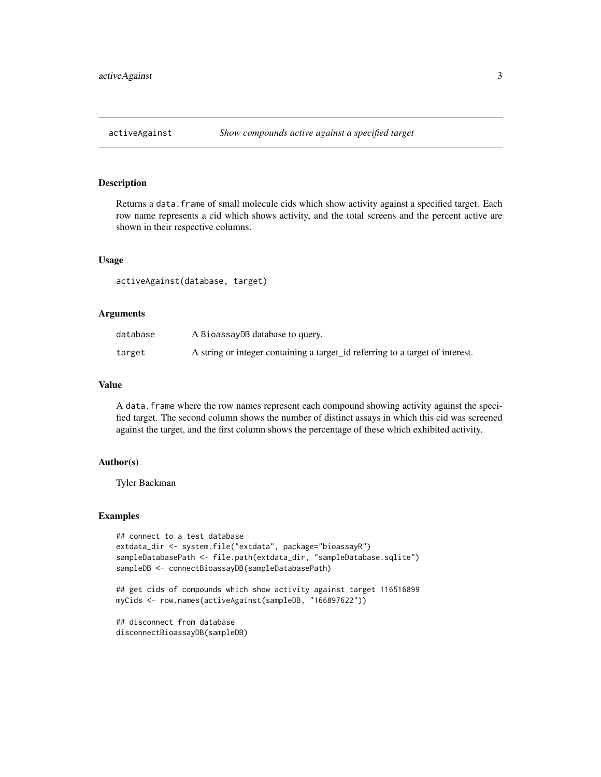<span id="page-2-0"></span>

Returns a data. frame of small molecule cids which show activity against a specified target. Each row name represents a cid which shows activity, and the total screens and the percent active are shown in their respective columns.

#### Usage

activeAgainst(database, target)

#### Arguments

| database | A BioassayDB database to query.                                               |
|----------|-------------------------------------------------------------------------------|
| target   | A string or integer containing a target_id referring to a target of interest. |

#### Value

A data.frame where the row names represent each compound showing activity against the specified target. The second column shows the number of distinct assays in which this cid was screened against the target, and the first column shows the percentage of these which exhibited activity.

#### Author(s)

Tyler Backman

#### Examples

```
## connect to a test database
extdata_dir <- system.file("extdata", package="bioassayR")
sampleDatabasePath <- file.path(extdata_dir, "sampleDatabase.sqlite")
sampleDB <- connectBioassayDB(sampleDatabasePath)
```

```
## get cids of compounds which show activity against target 116516899
myCids <- row.names(activeAgainst(sampleDB, "166897622"))
```
## disconnect from database disconnectBioassayDB(sampleDB)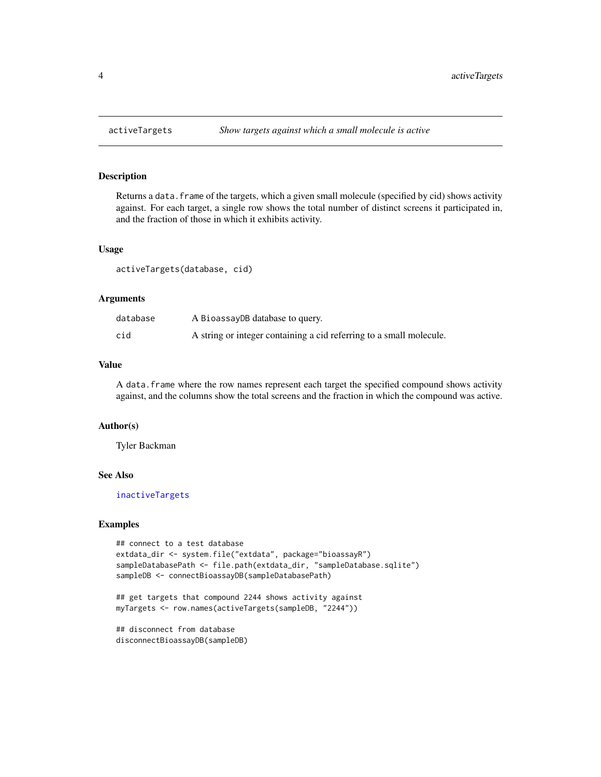<span id="page-3-1"></span><span id="page-3-0"></span>

Returns a data. frame of the targets, which a given small molecule (specified by cid) shows activity against. For each target, a single row shows the total number of distinct screens it participated in, and the fraction of those in which it exhibits activity.

## Usage

activeTargets(database, cid)

## Arguments

| database | A BioassayDB database to query.                                     |
|----------|---------------------------------------------------------------------|
| cid      | A string or integer containing a cid referring to a small molecule. |

#### Value

A data.frame where the row names represent each target the specified compound shows activity against, and the columns show the total screens and the fraction in which the compound was active.

## Author(s)

Tyler Backman

## See Also

[inactiveTargets](#page-23-1)

## Examples

```
## connect to a test database
extdata_dir <- system.file("extdata", package="bioassayR")
sampleDatabasePath <- file.path(extdata_dir, "sampleDatabase.sqlite")
sampleDB <- connectBioassayDB(sampleDatabasePath)
```

```
## get targets that compound 2244 shows activity against
myTargets <- row.names(activeTargets(sampleDB, "2244"))
```
## disconnect from database disconnectBioassayDB(sampleDB)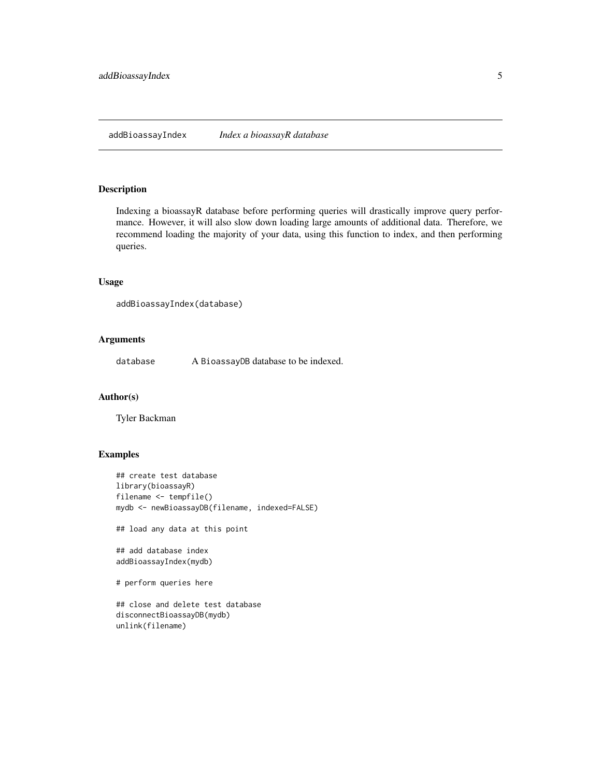<span id="page-4-0"></span>Indexing a bioassayR database before performing queries will drastically improve query performance. However, it will also slow down loading large amounts of additional data. Therefore, we recommend loading the majority of your data, using this function to index, and then performing queries.

#### Usage

```
addBioassayIndex(database)
```
## Arguments

database A BioassayDB database to be indexed.

## Author(s)

Tyler Backman

```
## create test database
library(bioassayR)
filename <- tempfile()
mydb <- newBioassayDB(filename, indexed=FALSE)
## load any data at this point
## add database index
addBioassayIndex(mydb)
# perform queries here
## close and delete test database
disconnectBioassayDB(mydb)
unlink(filename)
```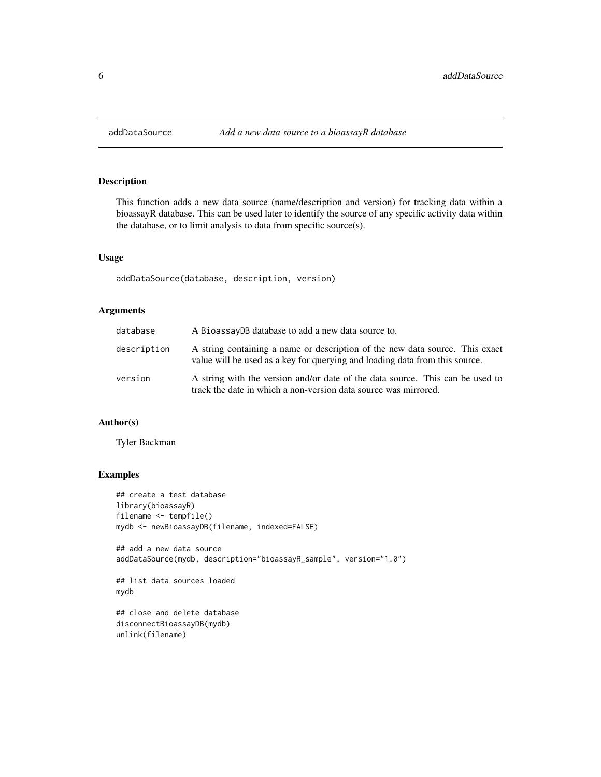This function adds a new data source (name/description and version) for tracking data within a bioassayR database. This can be used later to identify the source of any specific activity data within the database, or to limit analysis to data from specific source(s).

#### Usage

addDataSource(database, description, version)

#### Arguments

| database    | A BioassayDB database to add a new data source to.                                                                                                          |
|-------------|-------------------------------------------------------------------------------------------------------------------------------------------------------------|
| description | A string containing a name or description of the new data source. This exact<br>value will be used as a key for querying and loading data from this source. |
| version     | A string with the version and/or date of the data source. This can be used to<br>track the date in which a non-version data source was mirrored.            |

## Author(s)

Tyler Backman

```
## create a test database
library(bioassayR)
filename <- tempfile()
mydb <- newBioassayDB(filename, indexed=FALSE)
## add a new data source
addDataSource(mydb, description="bioassayR_sample", version="1.0")
## list data sources loaded
mydb
```

```
## close and delete database
disconnectBioassayDB(mydb)
unlink(filename)
```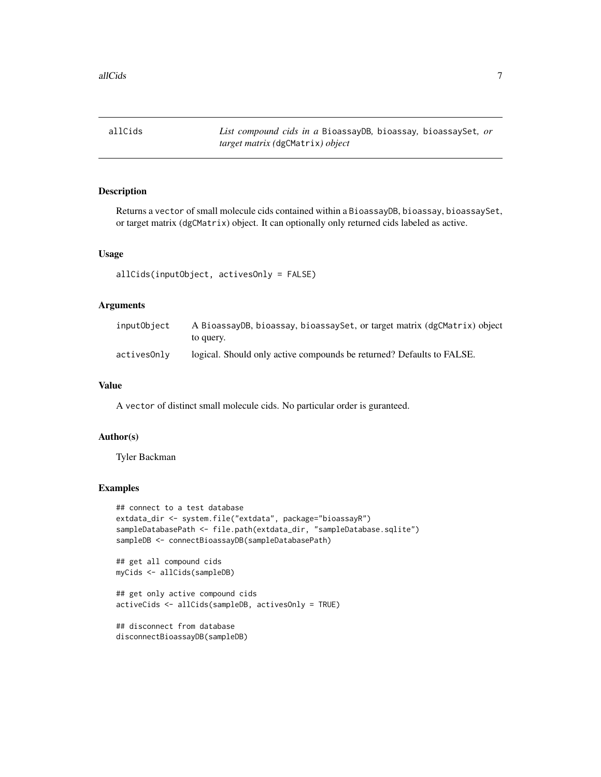<span id="page-6-0"></span>allCids *List compound cids in a* BioassayDB*,* bioassay*,* bioassaySet*, or target matrix (*dgCMatrix*) object*

#### Description

Returns a vector of small molecule cids contained within a BioassayDB, bioassay, bioassaySet, or target matrix (dgCMatrix) object. It can optionally only returned cids labeled as active.

## Usage

```
allCids(inputObject, activesOnly = FALSE)
```
#### Arguments

| inputObiect | A BioassayDB, bioassay, bioassaySet, or target matrix (dgCMatrix) object<br>to query. |
|-------------|---------------------------------------------------------------------------------------|
| activesOnlv | logical. Should only active compounds be returned? Defaults to FALSE.                 |

#### Value

A vector of distinct small molecule cids. No particular order is guranteed.

## Author(s)

Tyler Backman

```
## connect to a test database
extdata_dir <- system.file("extdata", package="bioassayR")
sampleDatabasePath <- file.path(extdata_dir, "sampleDatabase.sqlite")
sampleDB <- connectBioassayDB(sampleDatabasePath)
```

```
## get all compound cids
myCids <- allCids(sampleDB)
```

```
## get only active compound cids
activeCids <- allCids(sampleDB, activesOnly = TRUE)
```

```
## disconnect from database
disconnectBioassayDB(sampleDB)
```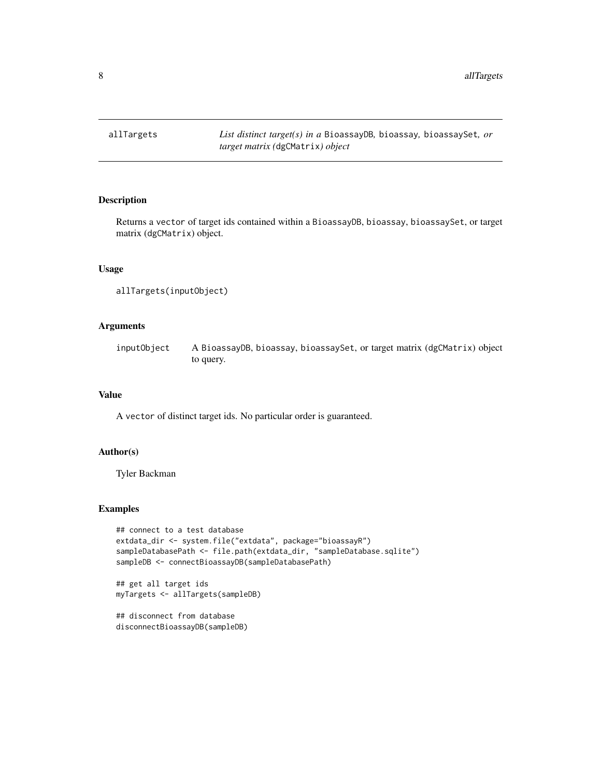<span id="page-7-0"></span>

Returns a vector of target ids contained within a BioassayDB, bioassay, bioassaySet, or target matrix (dgCMatrix) object.

## Usage

```
allTargets(inputObject)
```
## Arguments

inputObject A BioassayDB, bioassay, bioassaySet, or target matrix (dgCMatrix) object to query.

## Value

A vector of distinct target ids. No particular order is guaranteed.

## Author(s)

Tyler Backman

```
## connect to a test database
extdata_dir <- system.file("extdata", package="bioassayR")
sampleDatabasePath <- file.path(extdata_dir, "sampleDatabase.sqlite")
sampleDB <- connectBioassayDB(sampleDatabasePath)
```

```
## get all target ids
myTargets <- allTargets(sampleDB)
```

```
## disconnect from database
disconnectBioassayDB(sampleDB)
```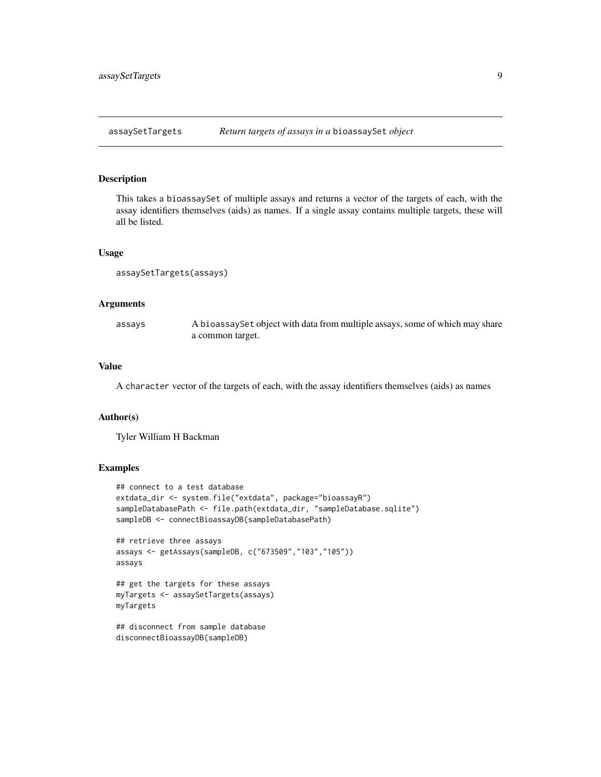<span id="page-8-0"></span>assaySetTargets *Return targets of assays in a* bioassaySet *object*

## Description

This takes a bioassaySet of multiple assays and returns a vector of the targets of each, with the assay identifiers themselves (aids) as names. If a single assay contains multiple targets, these will all be listed.

#### Usage

```
assaySetTargets(assays)
```
## Arguments

| assays | A bioassaySet object with data from multiple assays, some of which may share |
|--------|------------------------------------------------------------------------------|
|        | a common target.                                                             |

## Value

A character vector of the targets of each, with the assay identifiers themselves (aids) as names

#### Author(s)

Tyler William H Backman

```
## connect to a test database
extdata_dir <- system.file("extdata", package="bioassayR")
sampleDatabasePath <- file.path(extdata_dir, "sampleDatabase.sqlite")
sampleDB <- connectBioassayDB(sampleDatabasePath)
## retrieve three assays
assays <- getAssays(sampleDB, c("673509","103","105"))
assays
## get the targets for these assays
myTargets <- assaySetTargets(assays)
myTargets
## disconnect from sample database
disconnectBioassayDB(sampleDB)
```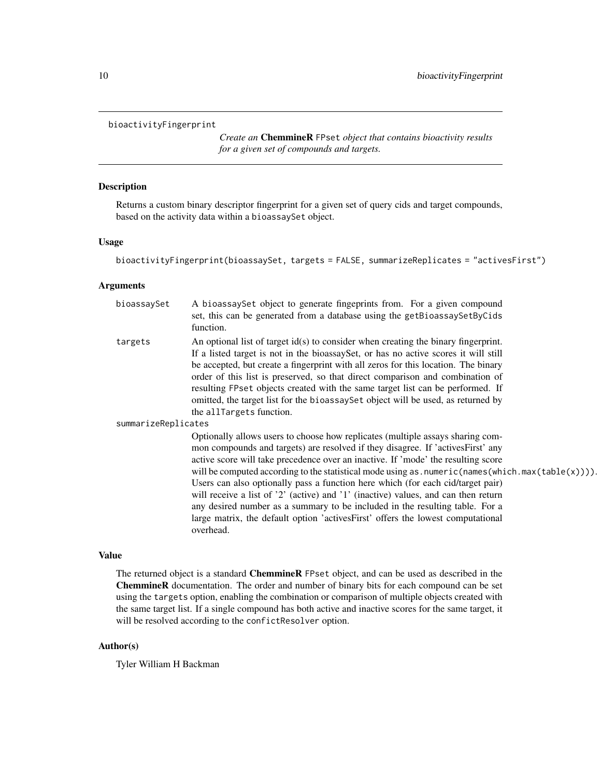#### <span id="page-9-1"></span><span id="page-9-0"></span>bioactivityFingerprint

*Create an* ChemmineR FPset *object that contains bioactivity results for a given set of compounds and targets.*

#### Description

Returns a custom binary descriptor fingerprint for a given set of query cids and target compounds, based on the activity data within a bioassaySet object.

## Usage

```
bioactivityFingerprint(bioassaySet, targets = FALSE, summarizeReplicates = "activesFirst")
```
## Arguments

| bioassaySet         | A bioassaySet object to generate fingeprints from. For a given compound<br>set, this can be generated from a database using the getBioassaySetByCids<br>function.                                                                                                                                                                                                                                                                                                                                                                                                                                                                                                                                                              |  |
|---------------------|--------------------------------------------------------------------------------------------------------------------------------------------------------------------------------------------------------------------------------------------------------------------------------------------------------------------------------------------------------------------------------------------------------------------------------------------------------------------------------------------------------------------------------------------------------------------------------------------------------------------------------------------------------------------------------------------------------------------------------|--|
| targets             | An optional list of target $id(s)$ to consider when creating the binary fingerprint.<br>If a listed target is not in the bioassaySet, or has no active scores it will still<br>be accepted, but create a fingerprint with all zeros for this location. The binary<br>order of this list is preserved, so that direct comparison and combination of<br>resulting FPset objects created with the same target list can be performed. If<br>omitted, the target list for the bioassaySet object will be used, as returned by<br>the allTargets function.                                                                                                                                                                           |  |
| summarizeReplicates |                                                                                                                                                                                                                                                                                                                                                                                                                                                                                                                                                                                                                                                                                                                                |  |
|                     | Optionally allows users to choose how replicates (multiple assays sharing com-<br>mon compounds and targets) are resolved if they disagree. If 'actives First' any<br>active score will take precedence over an inactive. If 'mode' the resulting score<br>will be computed according to the statistical mode using as . numeric (names (which.max (table $(x))$ )).<br>Users can also optionally pass a function here which (for each cid/target pair)<br>will receive a list of '2' (active) and '1' (inactive) values, and can then return<br>any desired number as a summary to be included in the resulting table. For a<br>large matrix, the default option 'actives First' offers the lowest computational<br>overhead. |  |

## Value

The returned object is a standard ChemmineR FPset object, and can be used as described in the ChemmineR documentation. The order and number of binary bits for each compound can be set using the targets option, enabling the combination or comparison of multiple objects created with the same target list. If a single compound has both active and inactive scores for the same target, it will be resolved according to the confictResolver option.

#### Author(s)

Tyler William H Backman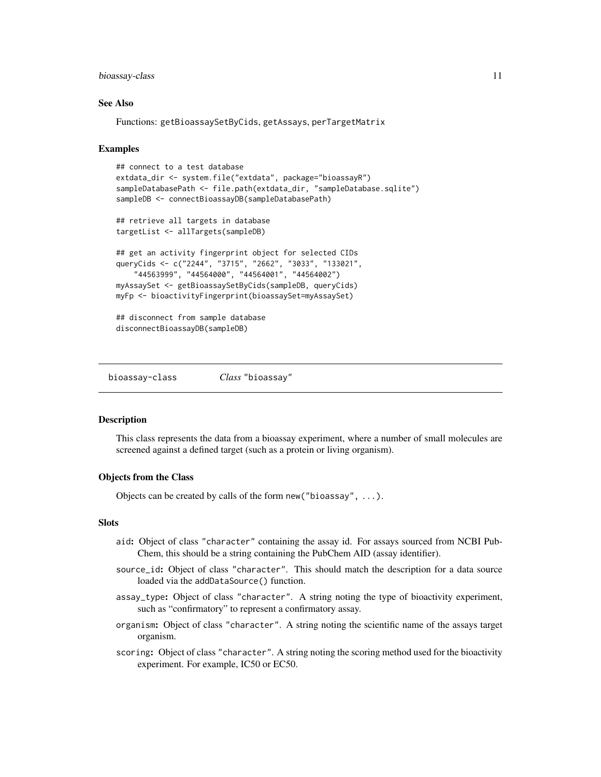#### <span id="page-10-0"></span>bioassay-class 11

#### See Also

Functions: getBioassaySetByCids, getAssays, perTargetMatrix

#### Examples

```
## connect to a test database
extdata_dir <- system.file("extdata", package="bioassayR")
sampleDatabasePath <- file.path(extdata_dir, "sampleDatabase.sqlite")
sampleDB <- connectBioassayDB(sampleDatabasePath)
## retrieve all targets in database
targetList <- allTargets(sampleDB)
## get an activity fingerprint object for selected CIDs
queryCids <- c("2244", "3715", "2662", "3033", "133021",
```

```
"44563999", "44564000", "44564001", "44564002")
myAssaySet <- getBioassaySetByCids(sampleDB, queryCids)
myFp <- bioactivityFingerprint(bioassaySet=myAssaySet)
```
## disconnect from sample database disconnectBioassayDB(sampleDB)

bioassay-class *Class* "bioassay"

#### Description

This class represents the data from a bioassay experiment, where a number of small molecules are screened against a defined target (such as a protein or living organism).

#### Objects from the Class

Objects can be created by calls of the form new("bioassay", ...).

#### **Slots**

- aid: Object of class "character" containing the assay id. For assays sourced from NCBI Pub-Chem, this should be a string containing the PubChem AID (assay identifier).
- source\_id: Object of class "character". This should match the description for a data source loaded via the addDataSource() function.
- assay\_type: Object of class "character". A string noting the type of bioactivity experiment, such as "confirmatory" to represent a confirmatory assay.
- organism: Object of class "character". A string noting the scientific name of the assays target organism.
- scoring: Object of class "character". A string noting the scoring method used for the bioactivity experiment. For example, IC50 or EC50.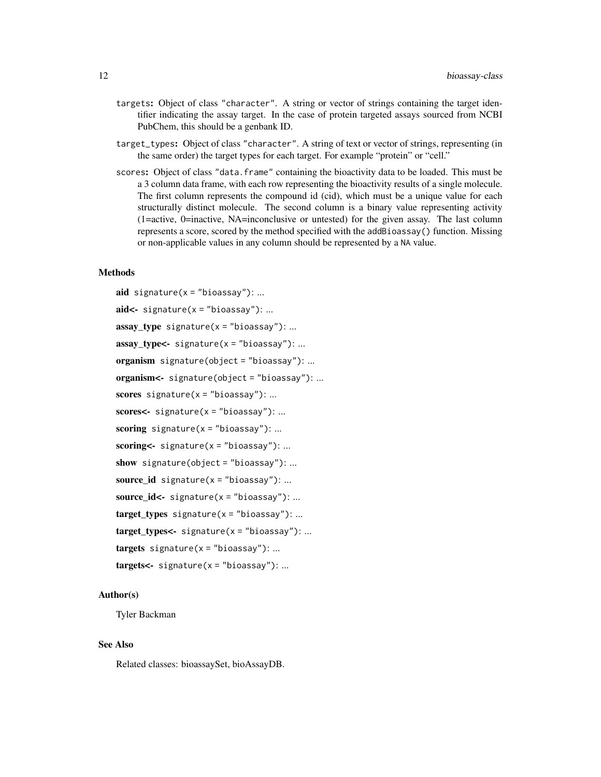- targets: Object of class "character". A string or vector of strings containing the target identifier indicating the assay target. In the case of protein targeted assays sourced from NCBI PubChem, this should be a genbank ID.
- target\_types: Object of class "character". A string of text or vector of strings, representing (in the same order) the target types for each target. For example "protein" or "cell."
- scores: Object of class "data.frame" containing the bioactivity data to be loaded. This must be a 3 column data frame, with each row representing the bioactivity results of a single molecule. The first column represents the compound id (cid), which must be a unique value for each structurally distinct molecule. The second column is a binary value representing activity (1=active, 0=inactive, NA=inconclusive or untested) for the given assay. The last column represents a score, scored by the method specified with the addBioassay() function. Missing or non-applicable values in any column should be represented by a NA value.

#### **Methods**

aid signature( $x =$ "bioassay"): ... aid<- signature( $x =$ "bioassay"): ... assay type signature( $x =$ "bioassay"): ...  $assay_type \leftarrow signature(x = "biassay")$ : ...  $organism$  signature(object = "bioassay"): ... organism<- signature(object = "bioassay"): ... scores signature( $x =$ "bioassay"): ... scores<- signature( $x =$ "bioassay"): ... scoring signature( $x =$ "bioassay"): ... scoring  $\leq$  signature( $x =$ "bioassay"): ... show signature(object = "bioassay"): ... source\_id signature( $x =$ "bioassay"):... source\_id<- signature(x = "bioassay"): ... target types signature( $x = "biassay")$ : ... target types  $\leq$  signature(x = "bioassay"): ...  $targets$  signature(x = "bioassay"): ...  $targets$   $-$  signature( $x = "bias$ say"): ...

## Author(s)

Tyler Backman

#### See Also

Related classes: bioassaySet, bioAssayDB.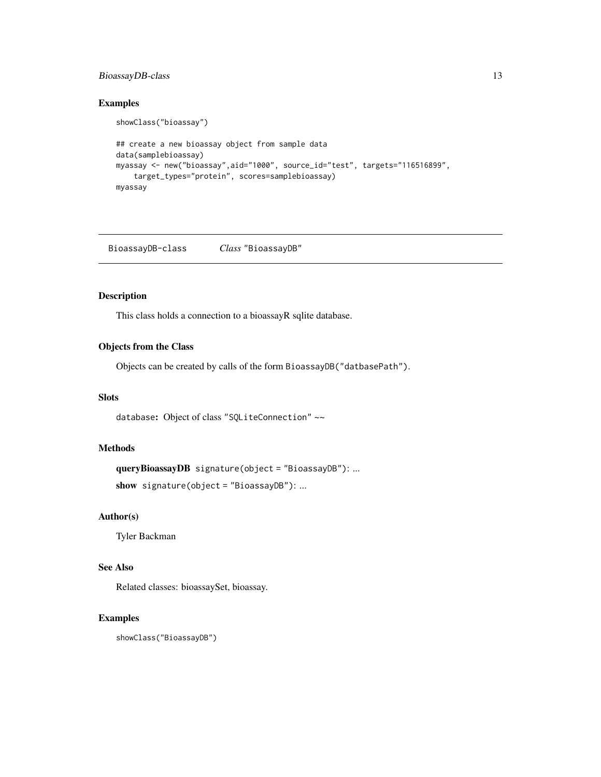## <span id="page-12-0"></span>BioassayDB-class 13

## Examples

```
showClass("bioassay")
## create a new bioassay object from sample data
data(samplebioassay)
myassay <- new("bioassay",aid="1000", source_id="test", targets="116516899",
   target_types="protein", scores=samplebioassay)
myassay
```
BioassayDB-class *Class* "BioassayDB"

#### Description

This class holds a connection to a bioassayR sqlite database.

## Objects from the Class

Objects can be created by calls of the form BioassayDB("datbasePath").

## **Slots**

database: Object of class "SQLiteConnection" ~~

## Methods

queryBioassayDB signature(object = "BioassayDB"): ...

show signature(object = "BioassayDB"): ...

#### Author(s)

Tyler Backman

## See Also

Related classes: bioassaySet, bioassay.

## Examples

showClass("BioassayDB")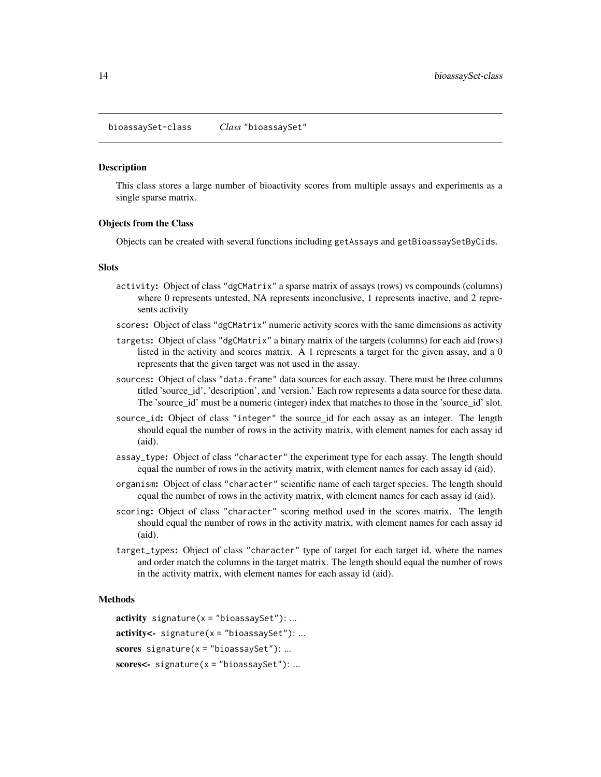<span id="page-13-0"></span>bioassaySet-class *Class* "bioassaySet"

#### Description

This class stores a large number of bioactivity scores from multiple assays and experiments as a single sparse matrix.

#### Objects from the Class

Objects can be created with several functions including getAssays and getBioassaySetByCids.

#### **Slots**

- activity: Object of class "dgCMatrix" a sparse matrix of assays (rows) vs compounds (columns) where 0 represents untested, NA represents inconclusive, 1 represents inactive, and 2 represents activity
- scores: Object of class "dgCMatrix" numeric activity scores with the same dimensions as activity
- targets: Object of class "dgCMatrix" a binary matrix of the targets (columns) for each aid (rows) listed in the activity and scores matrix. A 1 represents a target for the given assay, and a 0 represents that the given target was not used in the assay.
- sources: Object of class "data. frame" data sources for each assay. There must be three columns titled 'source\_id', 'description', and 'version.' Each row represents a data source for these data. The 'source\_id' must be a numeric (integer) index that matches to those in the 'source\_id' slot.
- source\_id: Object of class "integer" the source\_id for each assay as an integer. The length should equal the number of rows in the activity matrix, with element names for each assay id (aid).
- assay\_type: Object of class "character" the experiment type for each assay. The length should equal the number of rows in the activity matrix, with element names for each assay id (aid).
- organism: Object of class "character" scientific name of each target species. The length should equal the number of rows in the activity matrix, with element names for each assay id (aid).
- scoring: Object of class "character" scoring method used in the scores matrix. The length should equal the number of rows in the activity matrix, with element names for each assay id (aid).
- target\_types: Object of class "character" type of target for each target id, where the names and order match the columns in the target matrix. The length should equal the number of rows in the activity matrix, with element names for each assay id (aid).

## Methods

```
activity signature(x ="bioassaySet"): ...
activity < - signature(x ="bioassaySet"): ...
scores signature(x ="bioassaySet"): ...
scores <- signature(x = "biassaySet"): ...
```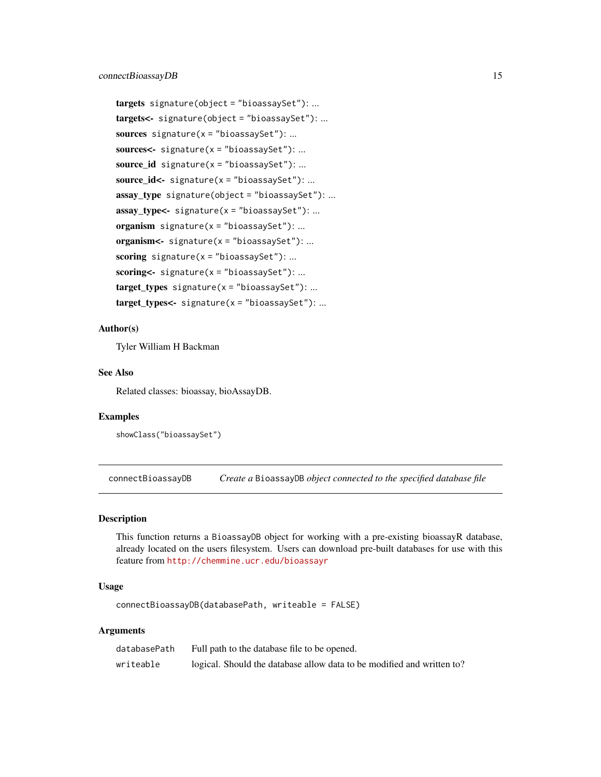```
targets signature(object = "bioassaySet"): ...
targets<- signature(object = "bioassaySet"): ...
sources signature(x ="bioassaySet"): ...
sources<- signature(x = "bioassaySet"): ...
source_id signature(x ="bioassaySet"): ...
source_id<- signature(x = "bioassaySet"): ...
assay_type signature(object = "bioassaySet"): ...
assay_type<- signature(x = "bioassaySet"): ...
organism signature(x = "biassaySet"): ...
organism<- signature(x = "bioassaySet"): ...
scoring signature(x ="bioassaySet"): ...
scoring \leftarrow signature(x = "bioassaySet"): ...
target_types signature(x = "bioassaySet"): ...
target_typees \leftarrow signature(x = "biassaySet") : ...
```
## Author(s)

Tyler William H Backman

#### See Also

Related classes: bioassay, bioAssayDB.

#### Examples

```
showClass("bioassaySet")
```
connectBioassayDB *Create a* BioassayDB *object connected to the specified database file*

## **Description**

This function returns a BioassayDB object for working with a pre-existing bioassayR database, already located on the users filesystem. Users can download pre-built databases for use with this feature from <http://chemmine.ucr.edu/bioassayr>

#### Usage

connectBioassayDB(databasePath, writeable = FALSE)

## Arguments

| databasePath | Full path to the database file to be opened.                           |
|--------------|------------------------------------------------------------------------|
| writeable    | logical. Should the database allow data to be modified and written to? |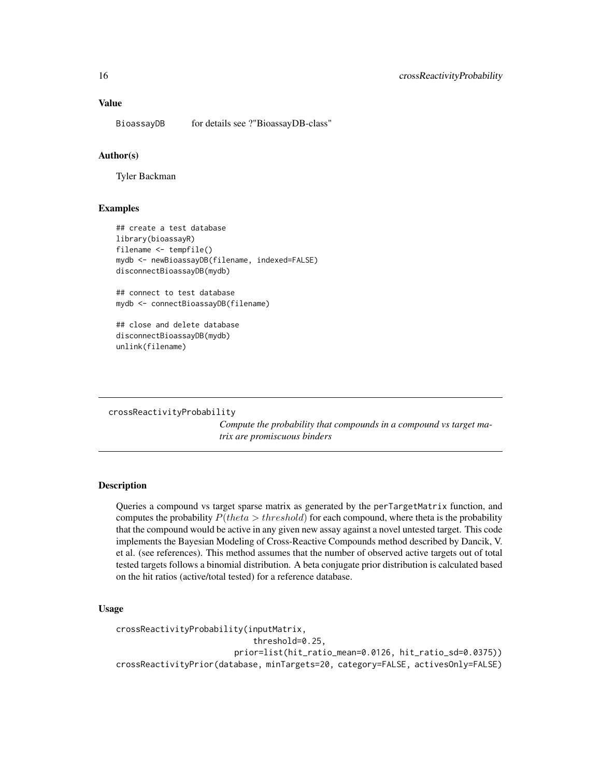## Value

BioassayDB for details see ?"BioassayDB-class"

## Author(s)

Tyler Backman

#### Examples

```
## create a test database
library(bioassayR)
filename <- tempfile()
mydb <- newBioassayDB(filename, indexed=FALSE)
disconnectBioassayDB(mydb)
## connect to test database
mydb <- connectBioassayDB(filename)
## close and delete database
disconnectBioassayDB(mydb)
```
crossReactivityProbability

unlink(filename)

*Compute the probability that compounds in a compound vs target matrix are promiscuous binders*

## Description

Queries a compound vs target sparse matrix as generated by the perTargetMatrix function, and computes the probability  $P(theta > threshold)$  for each compound, where theta is the probability that the compound would be active in any given new assay against a novel untested target. This code implements the Bayesian Modeling of Cross-Reactive Compounds method described by Dancik, V. et al. (see references). This method assumes that the number of observed active targets out of total tested targets follows a binomial distribution. A beta conjugate prior distribution is calculated based on the hit ratios (active/total tested) for a reference database.

#### Usage

```
crossReactivityProbability(inputMatrix,
                            threshold=0.25,
                        prior=list(hit_ratio_mean=0.0126, hit_ratio_sd=0.0375))
crossReactivityPrior(database, minTargets=20, category=FALSE, activesOnly=FALSE)
```
<span id="page-15-0"></span>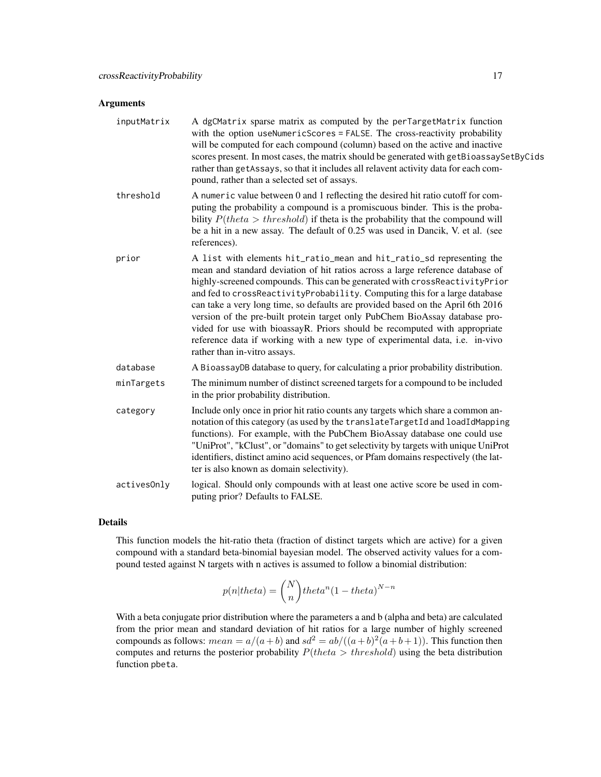## Arguments

| inputMatrix | A dgCMatrix sparse matrix as computed by the perTargetMatrix function<br>with the option useNumericScores = FALSE. The cross-reactivity probability<br>will be computed for each compound (column) based on the active and inactive<br>scores present. In most cases, the matrix should be generated with getBioassaySetByCids<br>rather than getAssays, so that it includes all relavent activity data for each com-<br>pound, rather than a selected set of assays.                                                                                                                                                                                                               |
|-------------|-------------------------------------------------------------------------------------------------------------------------------------------------------------------------------------------------------------------------------------------------------------------------------------------------------------------------------------------------------------------------------------------------------------------------------------------------------------------------------------------------------------------------------------------------------------------------------------------------------------------------------------------------------------------------------------|
| threshold   | A numeric value between 0 and 1 reflecting the desired hit ratio cutoff for com-<br>puting the probability a compound is a promiscuous binder. This is the proba-<br>bility $P(theta > threshold)$ if theta is the probability that the compound will<br>be a hit in a new assay. The default of 0.25 was used in Dancik, V. et al. (see<br>references).                                                                                                                                                                                                                                                                                                                            |
| prior       | A list with elements hit_ratio_mean and hit_ratio_sd representing the<br>mean and standard deviation of hit ratios across a large reference database of<br>highly-screened compounds. This can be generated with crossReactivityPrior<br>and fed to crossReactivityProbability. Computing this for a large database<br>can take a very long time, so defaults are provided based on the April 6th 2016<br>version of the pre-built protein target only PubChem BioAssay database pro-<br>vided for use with bioassayR. Priors should be recomputed with appropriate<br>reference data if working with a new type of experimental data, i.e. in-vivo<br>rather than in-vitro assays. |
| database    | A BioassayDB database to query, for calculating a prior probability distribution.                                                                                                                                                                                                                                                                                                                                                                                                                                                                                                                                                                                                   |
| minTargets  | The minimum number of distinct screened targets for a compound to be included<br>in the prior probability distribution.                                                                                                                                                                                                                                                                                                                                                                                                                                                                                                                                                             |
| category    | Include only once in prior hit ratio counts any targets which share a common an-<br>notation of this category (as used by the translateTargetId and loadIdMapping<br>functions). For example, with the PubChem BioAssay database one could use<br>"UniProt", "kClust", or "domains" to get selectivity by targets with unique UniProt<br>identifiers, distinct amino acid sequences, or Pfam domains respectively (the lat-<br>ter is also known as domain selectivity).                                                                                                                                                                                                            |
| activesOnly | logical. Should only compounds with at least one active score be used in com-<br>puting prior? Defaults to FALSE.                                                                                                                                                                                                                                                                                                                                                                                                                                                                                                                                                                   |

## Details

This function models the hit-ratio theta (fraction of distinct targets which are active) for a given compound with a standard beta-binomial bayesian model. The observed activity values for a compound tested against N targets with n actives is assumed to follow a binomial distribution:

$$
p(n|theta) = {N \choose n}theta^n (1 - theta)^{N-n}
$$

With a beta conjugate prior distribution where the parameters a and b (alpha and beta) are calculated from the prior mean and standard deviation of hit ratios for a large number of highly screened compounds as follows:  $mean = a/(a + b)$  and  $sd^2 = ab/((a + b)^2(a + b + 1))$ . This function then computes and returns the posterior probability  $P(theta > threshold)$  using the beta distribution function pbeta.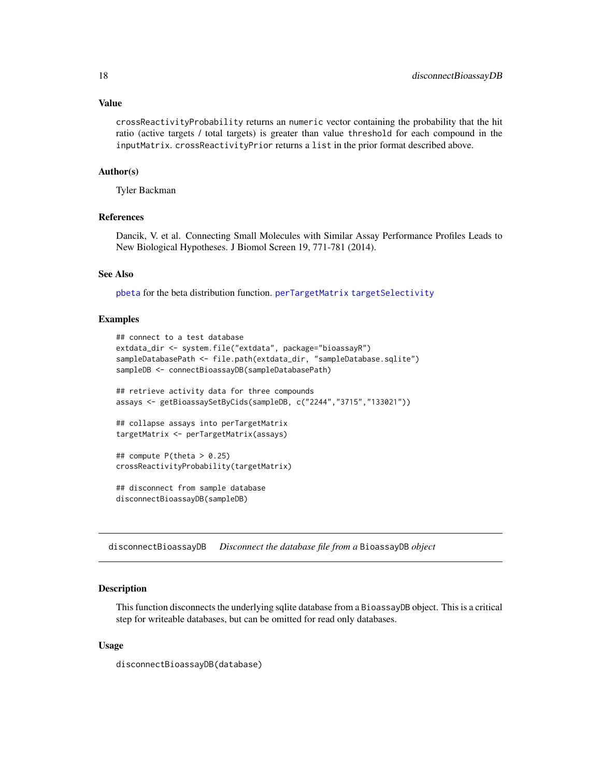#### <span id="page-17-0"></span>Value

crossReactivityProbability returns an numeric vector containing the probability that the hit ratio (active targets / total targets) is greater than value threshold for each compound in the inputMatrix. crossReactivityPrior returns a list in the prior format described above.

## Author(s)

Tyler Backman

## References

Dancik, V. et al. Connecting Small Molecules with Similar Assay Performance Profiles Leads to New Biological Hypotheses. J Biomol Screen 19, 771-781 (2014).

#### See Also

[pbeta](#page-0-0) for the beta distribution function. [perTargetMatrix](#page-28-1) [targetSelectivity](#page-35-1)

## Examples

```
## connect to a test database
extdata_dir <- system.file("extdata", package="bioassayR")
sampleDatabasePath <- file.path(extdata_dir, "sampleDatabase.sqlite")
sampleDB <- connectBioassayDB(sampleDatabasePath)
## retrieve activity data for three compounds
assays <- getBioassaySetByCids(sampleDB, c("2244","3715","133021"))
## collapse assays into perTargetMatrix
targetMatrix <- perTargetMatrix(assays)
## compute P(theta > 0.25)
crossReactivityProbability(targetMatrix)
## disconnect from sample database
disconnectBioassayDB(sampleDB)
```
disconnectBioassayDB *Disconnect the database file from a* BioassayDB *object*

## Description

This function disconnects the underlying sqlite database from a BioassayDB object. This is a critical step for writeable databases, but can be omitted for read only databases.

#### Usage

disconnectBioassayDB(database)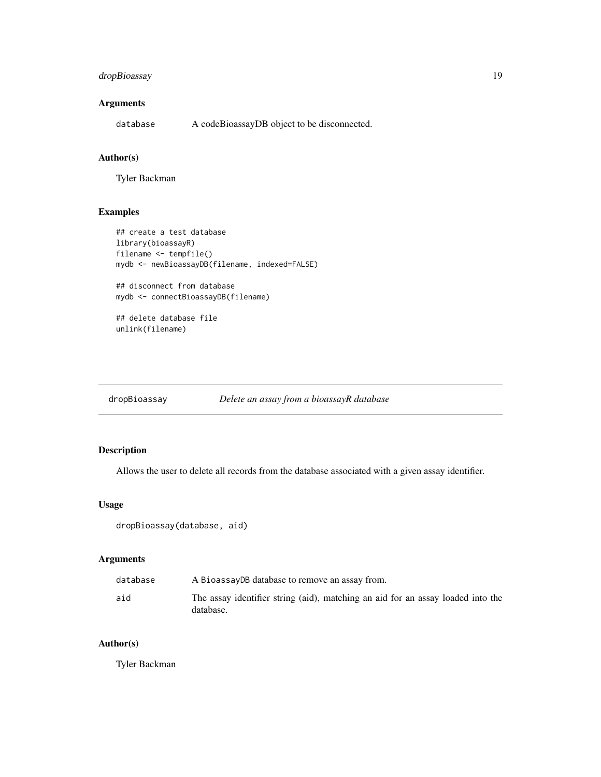## <span id="page-18-0"></span>dropBioassay 19

## Arguments

database A codeBioassayDB object to be disconnected.

## Author(s)

Tyler Backman

## Examples

```
## create a test database
library(bioassayR)
filename <- tempfile()
mydb <- newBioassayDB(filename, indexed=FALSE)
## disconnect from database
mydb <- connectBioassayDB(filename)
## delete database file
```
unlink(filename)

dropBioassay *Delete an assay from a bioassayR database*

## Description

Allows the user to delete all records from the database associated with a given assay identifier.

## Usage

```
dropBioassay(database, aid)
```
## Arguments

| database | A Bioassay DB database to remove an assay from.                                              |
|----------|----------------------------------------------------------------------------------------------|
| aid      | The assay identifier string (aid), matching an aid for an assay loaded into the<br>database. |

## Author(s)

Tyler Backman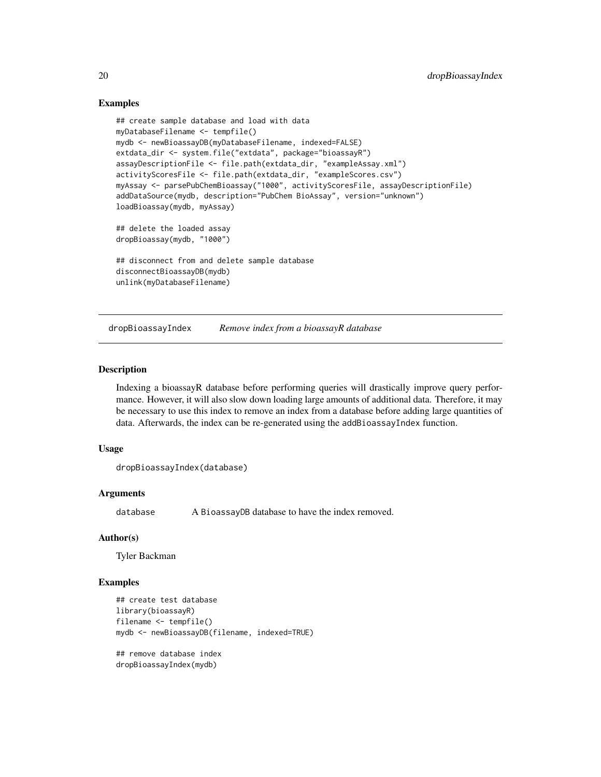## Examples

```
## create sample database and load with data
myDatabaseFilename <- tempfile()
mydb <- newBioassayDB(myDatabaseFilename, indexed=FALSE)
extdata_dir <- system.file("extdata", package="bioassayR")
assayDescriptionFile <- file.path(extdata_dir, "exampleAssay.xml")
activityScoresFile <- file.path(extdata_dir, "exampleScores.csv")
myAssay <- parsePubChemBioassay("1000", activityScoresFile, assayDescriptionFile)
addDataSource(mydb, description="PubChem BioAssay", version="unknown")
loadBioassay(mydb, myAssay)
## delete the loaded assay
dropBioassay(mydb, "1000")
## disconnect from and delete sample database
disconnectBioassayDB(mydb)
unlink(myDatabaseFilename)
```
dropBioassayIndex *Remove index from a bioassayR database*

#### Description

Indexing a bioassayR database before performing queries will drastically improve query performance. However, it will also slow down loading large amounts of additional data. Therefore, it may be necessary to use this index to remove an index from a database before adding large quantities of data. Afterwards, the index can be re-generated using the addBioassayIndex function.

#### Usage

```
dropBioassayIndex(database)
```
#### Arguments

database A BioassayDB database to have the index removed.

#### Author(s)

Tyler Backman

## Examples

```
## create test database
library(bioassayR)
filename <- tempfile()
mydb <- newBioassayDB(filename, indexed=TRUE)
```
## remove database index dropBioassayIndex(mydb)

<span id="page-19-0"></span>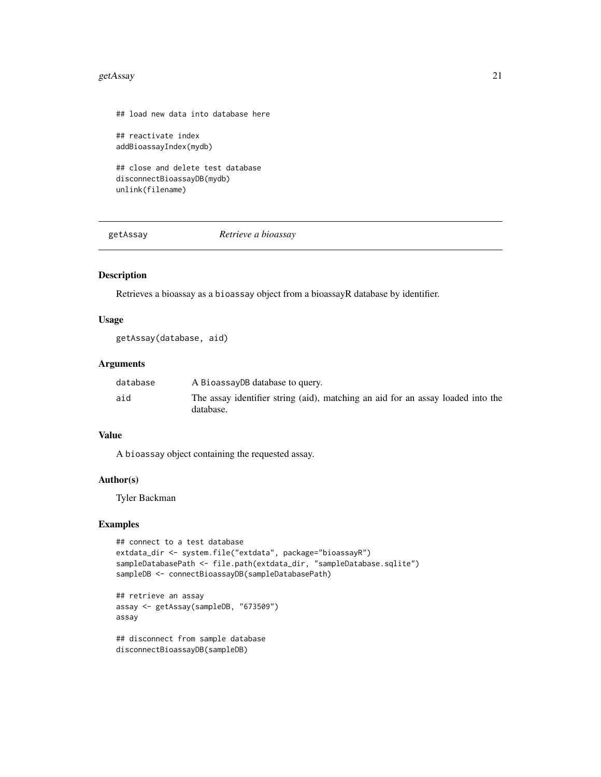#### <span id="page-20-0"></span>getAssay 21

## load new data into database here ## reactivate index addBioassayIndex(mydb) ## close and delete test database disconnectBioassayDB(mydb)

unlink(filename)

getAssay *Retrieve a bioassay*

## Description

Retrieves a bioassay as a bioassay object from a bioassayR database by identifier.

## Usage

getAssay(database, aid)

## Arguments

| database | A BioassayDB database to query.                                                 |
|----------|---------------------------------------------------------------------------------|
| aid      | The assay identifier string (aid), matching an aid for an assay loaded into the |
|          | database.                                                                       |

#### Value

A bioassay object containing the requested assay.

## Author(s)

Tyler Backman

```
## connect to a test database
extdata_dir <- system.file("extdata", package="bioassayR")
sampleDatabasePath <- file.path(extdata_dir, "sampleDatabase.sqlite")
sampleDB <- connectBioassayDB(sampleDatabasePath)
```

```
## retrieve an assay
assay <- getAssay(sampleDB, "673509")
assay
```

```
## disconnect from sample database
disconnectBioassayDB(sampleDB)
```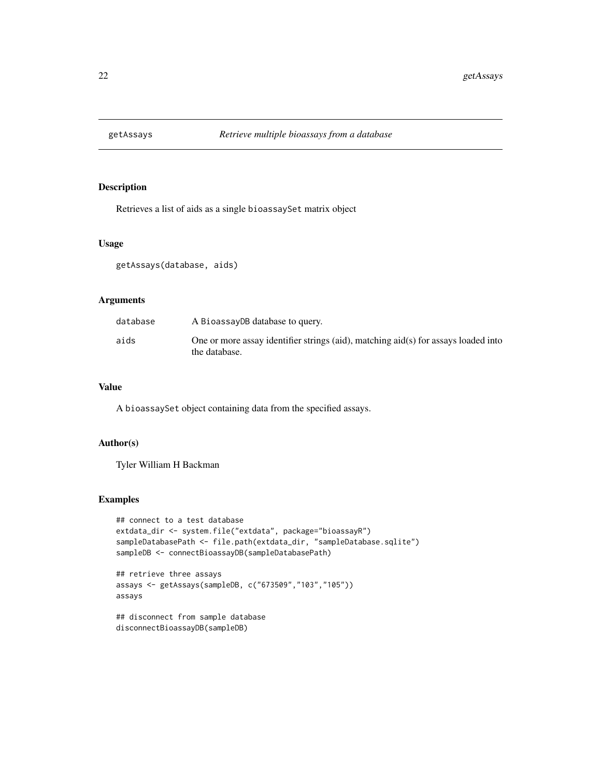<span id="page-21-0"></span>

Retrieves a list of aids as a single bioassaySet matrix object

## Usage

getAssays(database, aids)

## Arguments

| database | A BioassayDB database to query.                                                                       |
|----------|-------------------------------------------------------------------------------------------------------|
| aids     | One or more assay identifier strings (aid), matching $aid(s)$ for assays loaded into<br>the database. |

## Value

A bioassaySet object containing data from the specified assays.

## Author(s)

Tyler William H Backman

#### Examples

```
## connect to a test database
extdata_dir <- system.file("extdata", package="bioassayR")
sampleDatabasePath <- file.path(extdata_dir, "sampleDatabase.sqlite")
sampleDB <- connectBioassayDB(sampleDatabasePath)
```

```
## retrieve three assays
assays <- getAssays(sampleDB, c("673509","103","105"))
assays
```
## disconnect from sample database disconnectBioassayDB(sampleDB)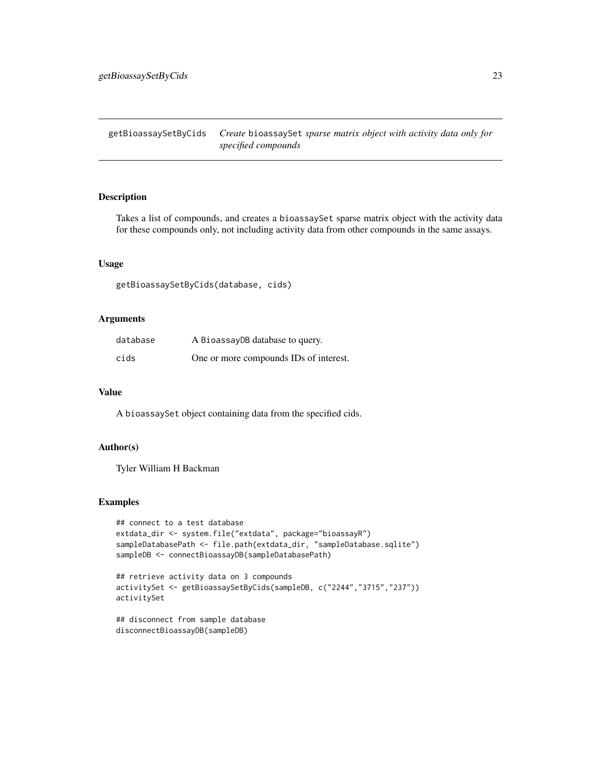<span id="page-22-1"></span><span id="page-22-0"></span>getBioassaySetByCids *Create* bioassaySet *sparse matrix object with activity data only for specified compounds*

## Description

Takes a list of compounds, and creates a bioassaySet sparse matrix object with the activity data for these compounds only, not including activity data from other compounds in the same assays.

#### Usage

getBioassaySetByCids(database, cids)

## Arguments

| database | A BioassayDB database to query.        |
|----------|----------------------------------------|
| cids     | One or more compounds IDs of interest. |

## Value

A bioassaySet object containing data from the specified cids.

## Author(s)

Tyler William H Backman

## Examples

```
## connect to a test database
extdata_dir <- system.file("extdata", package="bioassayR")
sampleDatabasePath <- file.path(extdata_dir, "sampleDatabase.sqlite")
sampleDB <- connectBioassayDB(sampleDatabasePath)
```

```
## retrieve activity data on 3 compounds
activitySet <- getBioassaySetByCids(sampleDB, c("2244","3715","237"))
activitySet
```
## disconnect from sample database disconnectBioassayDB(sampleDB)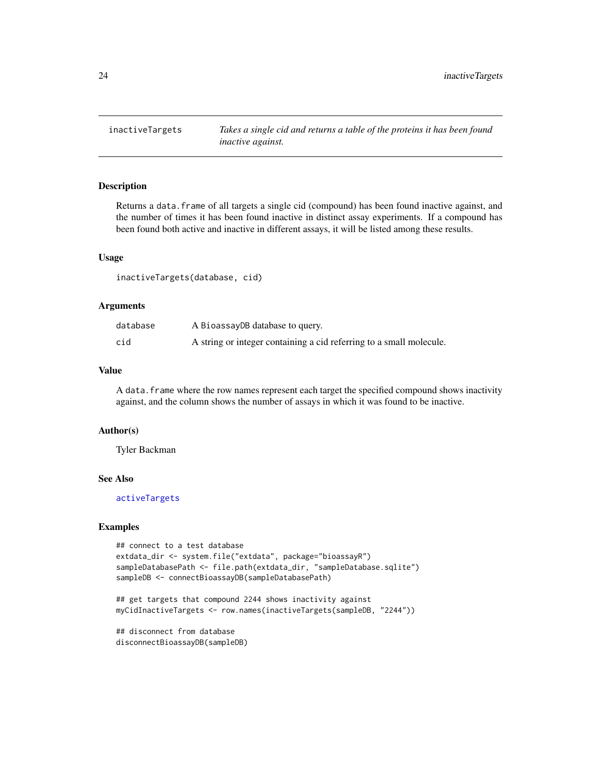<span id="page-23-1"></span><span id="page-23-0"></span>

Returns a data.frame of all targets a single cid (compound) has been found inactive against, and the number of times it has been found inactive in distinct assay experiments. If a compound has been found both active and inactive in different assays, it will be listed among these results.

## Usage

inactiveTargets(database, cid)

#### Arguments

| database | A BioassayDB database to query.                                     |
|----------|---------------------------------------------------------------------|
| cid      | A string or integer containing a cid referring to a small molecule. |

#### Value

A data.frame where the row names represent each target the specified compound shows inactivity against, and the column shows the number of assays in which it was found to be inactive.

## Author(s)

Tyler Backman

#### See Also

[activeTargets](#page-3-1)

#### Examples

```
## connect to a test database
extdata_dir <- system.file("extdata", package="bioassayR")
sampleDatabasePath <- file.path(extdata_dir, "sampleDatabase.sqlite")
sampleDB <- connectBioassayDB(sampleDatabasePath)
```

```
## get targets that compound 2244 shows inactivity against
myCidInactiveTargets <- row.names(inactiveTargets(sampleDB, "2244"))
```
## disconnect from database disconnectBioassayDB(sampleDB)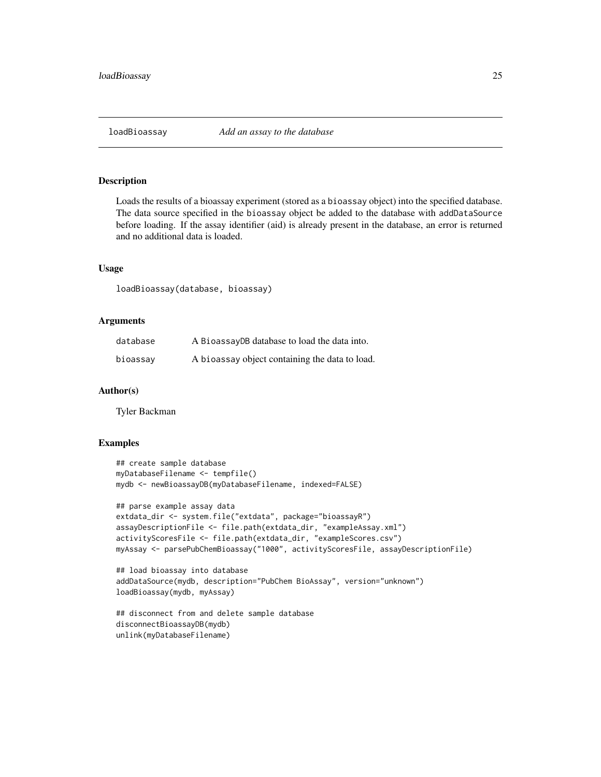<span id="page-24-0"></span>

Loads the results of a bioassay experiment (stored as a bioassay object) into the specified database. The data source specified in the bioassay object be added to the database with addDataSource before loading. If the assay identifier (aid) is already present in the database, an error is returned and no additional data is loaded.

#### Usage

loadBioassay(database, bioassay)

#### **Arguments**

| database | A BioassayDB database to load the data into.   |
|----------|------------------------------------------------|
| bioassay | A bioassay object containing the data to load. |

#### Author(s)

Tyler Backman

```
## create sample database
myDatabaseFilename <- tempfile()
mydb <- newBioassayDB(myDatabaseFilename, indexed=FALSE)
```

```
## parse example assay data
extdata_dir <- system.file("extdata", package="bioassayR")
assayDescriptionFile <- file.path(extdata_dir, "exampleAssay.xml")
activityScoresFile <- file.path(extdata_dir, "exampleScores.csv")
myAssay <- parsePubChemBioassay("1000", activityScoresFile, assayDescriptionFile)
```

```
## load bioassay into database
addDataSource(mydb, description="PubChem BioAssay", version="unknown")
loadBioassay(mydb, myAssay)
```

```
## disconnect from and delete sample database
disconnectBioassayDB(mydb)
unlink(myDatabaseFilename)
```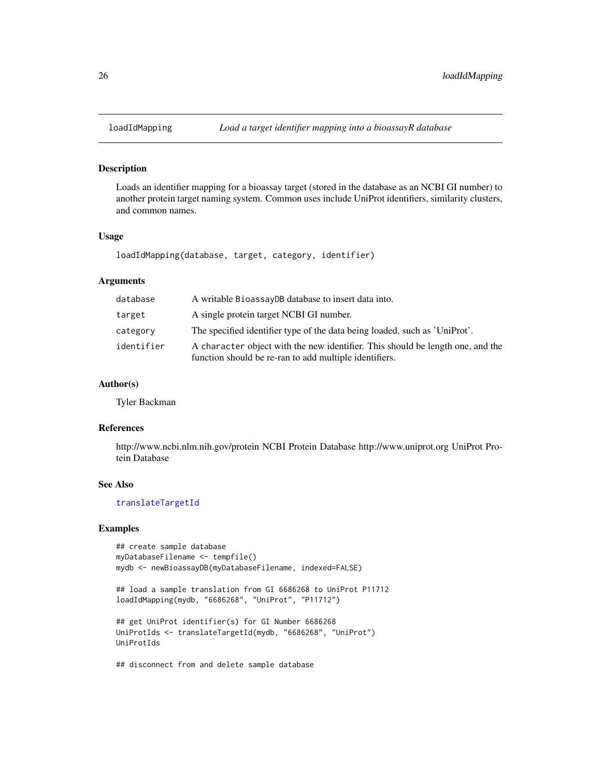<span id="page-25-1"></span><span id="page-25-0"></span>

Loads an identifier mapping for a bioassay target (stored in the database as an NCBI GI number) to another protein target naming system. Common uses include UniProt identifiers, similarity clusters, and common names.

## Usage

loadIdMapping(database, target, category, identifier)

## Arguments

| database   | A writable BioassayDB database to insert data into.                                                                                      |
|------------|------------------------------------------------------------------------------------------------------------------------------------------|
| target     | A single protein target NCBI GI number.                                                                                                  |
| category   | The specified identifier type of the data being loaded, such as 'UniProt'.                                                               |
| identifier | A character object with the new identifier. This should be length one, and the<br>function should be re-ran to add multiple identifiers. |

## Author(s)

Tyler Backman

## References

http://www.ncbi.nlm.nih.gov/protein NCBI Protein Database http://www.uniprot.org UniProt Protein Database

## See Also

[translateTargetId](#page-36-1)

## Examples

```
## create sample database
myDatabaseFilename <- tempfile()
mydb <- newBioassayDB(myDatabaseFilename, indexed=FALSE)
```

```
## load a sample translation from GI 6686268 to UniProt P11712
loadIdMapping(mydb, "6686268", "UniProt", "P11712")
```

```
## get UniProt identifier(s) for GI Number 6686268
UniProtIds <- translateTargetId(mydb, "6686268", "UniProt")
UniProtIds
```
## disconnect from and delete sample database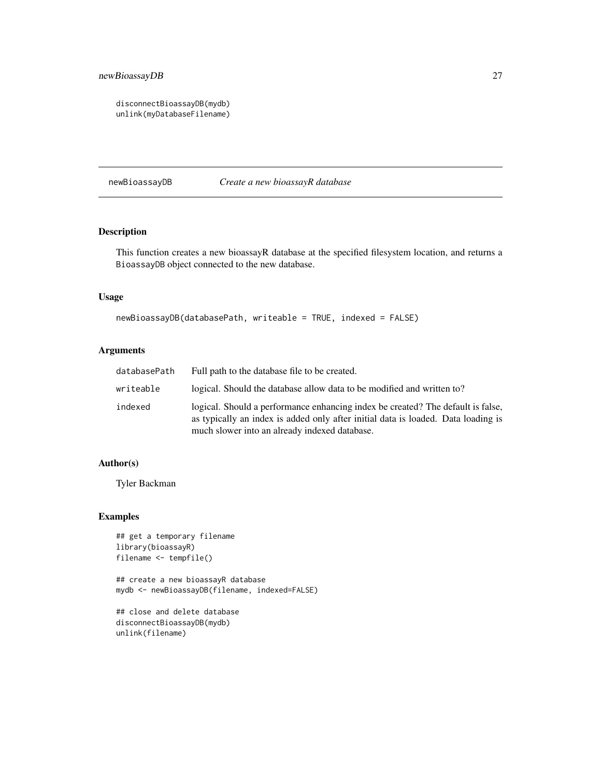<span id="page-26-0"></span>disconnectBioassayDB(mydb) unlink(myDatabaseFilename)

newBioassayDB *Create a new bioassayR database*

## Description

This function creates a new bioassayR database at the specified filesystem location, and returns a BioassayDB object connected to the new database.

## Usage

```
newBioassayDB(databasePath, writeable = TRUE, indexed = FALSE)
```
## Arguments

| databasePath | Full path to the database file to be created.                                                                                                                                                                         |
|--------------|-----------------------------------------------------------------------------------------------------------------------------------------------------------------------------------------------------------------------|
| writeable    | logical. Should the database allow data to be modified and written to?                                                                                                                                                |
| indexed      | logical. Should a performance enhancing index be created? The default is false,<br>as typically an index is added only after initial data is loaded. Data loading is<br>much slower into an already indexed database. |

## Author(s)

Tyler Backman

## Examples

```
## get a temporary filename
library(bioassayR)
filename <- tempfile()
```
## create a new bioassayR database mydb <- newBioassayDB(filename, indexed=FALSE)

```
## close and delete database
disconnectBioassayDB(mydb)
unlink(filename)
```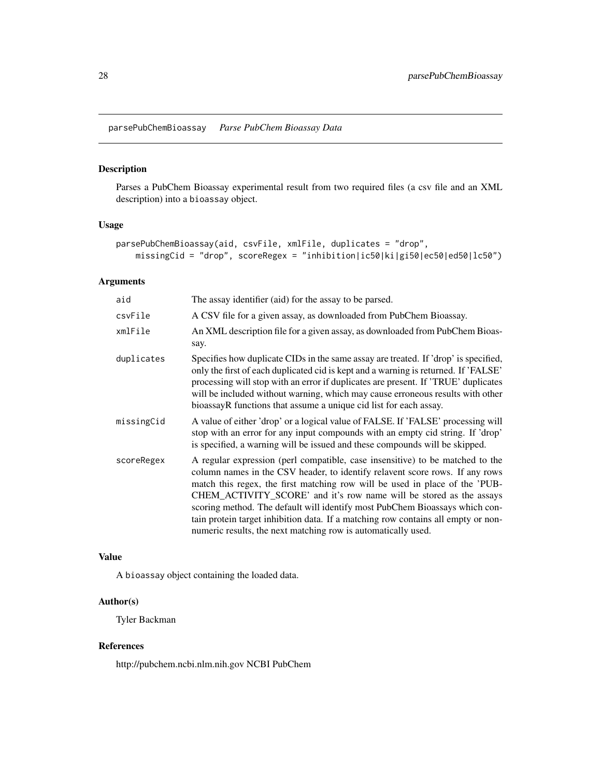<span id="page-27-0"></span>parsePubChemBioassay *Parse PubChem Bioassay Data*

## Description

Parses a PubChem Bioassay experimental result from two required files (a csv file and an XML description) into a bioassay object.

#### Usage

```
parsePubChemBioassay(aid, csvFile, xmlFile, duplicates = "drop",
   missingCid = "drop", scoreRegex = "inhibition|ic50|ki|gi50|ec50|ed50|lc50")
```
## Arguments

| aid        | The assay identifier (aid) for the assay to be parsed.                                                                                                                                                                                                                                                                                                                                                                                                                                                                                                   |
|------------|----------------------------------------------------------------------------------------------------------------------------------------------------------------------------------------------------------------------------------------------------------------------------------------------------------------------------------------------------------------------------------------------------------------------------------------------------------------------------------------------------------------------------------------------------------|
| csvFile    | A CSV file for a given assay, as downloaded from PubChem Bioassay.                                                                                                                                                                                                                                                                                                                                                                                                                                                                                       |
| xmlFile    | An XML description file for a given assay, as downloaded from PubChem Bioas-<br>say.                                                                                                                                                                                                                                                                                                                                                                                                                                                                     |
| duplicates | Specifies how duplicate CIDs in the same assay are treated. If 'drop' is specified,<br>only the first of each duplicated cid is kept and a warning is returned. If 'FALSE'<br>processing will stop with an error if duplicates are present. If 'TRUE' duplicates<br>will be included without warning, which may cause erroneous results with other<br>bioassayR functions that assume a unique cid list for each assay.                                                                                                                                  |
| missingCid | A value of either 'drop' or a logical value of FALSE. If 'FALSE' processing will<br>stop with an error for any input compounds with an empty cid string. If 'drop'<br>is specified, a warning will be issued and these compounds will be skipped.                                                                                                                                                                                                                                                                                                        |
| scoreRegex | A regular expression (perl compatible, case insensitive) to be matched to the<br>column names in the CSV header, to identify relavent score rows. If any rows<br>match this regex, the first matching row will be used in place of the 'PUB-<br>CHEM_ACTIVITY_SCORE' and it's row name will be stored as the assays<br>scoring method. The default will identify most PubChem Bioassays which con-<br>tain protein target inhibition data. If a matching row contains all empty or non-<br>numeric results, the next matching row is automatically used. |

## Value

A bioassay object containing the loaded data.

## Author(s)

Tyler Backman

#### References

http://pubchem.ncbi.nlm.nih.gov NCBI PubChem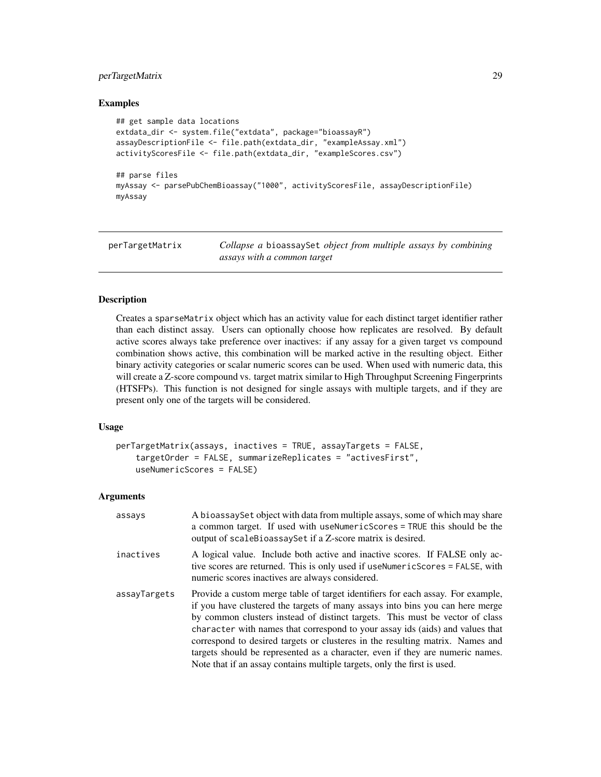## <span id="page-28-0"></span>perTargetMatrix 29

#### Examples

```
## get sample data locations
extdata_dir <- system.file("extdata", package="bioassayR")
assayDescriptionFile <- file.path(extdata_dir, "exampleAssay.xml")
activityScoresFile <- file.path(extdata_dir, "exampleScores.csv")
## parse files
myAssay <- parsePubChemBioassay("1000", activityScoresFile, assayDescriptionFile)
myAssay
```
<span id="page-28-1"></span>

| perTargetMatrix | Collapse a bioassaySet object from multiple assays by combining |
|-----------------|-----------------------------------------------------------------|
|                 | assays with a common target                                     |

## Description

Creates a sparseMatrix object which has an activity value for each distinct target identifier rather than each distinct assay. Users can optionally choose how replicates are resolved. By default active scores always take preference over inactives: if any assay for a given target vs compound combination shows active, this combination will be marked active in the resulting object. Either binary activity categories or scalar numeric scores can be used. When used with numeric data, this will create a Z-score compound vs. target matrix similar to High Throughput Screening Fingerprints (HTSFPs). This function is not designed for single assays with multiple targets, and if they are present only one of the targets will be considered.

#### Usage

```
perTargetMatrix(assays, inactives = TRUE, assayTargets = FALSE,
    targetOrder = FALSE, summarizeReplicates = "activesFirst",
    useNumericScores = FALSE)
```
#### Arguments

| assays       | A bioassay Set object with data from multiple assays, some of which may share<br>a common target. If used with useNumericScores = TRUE this should be the<br>output of scaleBioassaySet if a Z-score matrix is desired.                                                                                                                                                                                                                                                                                                                                                         |
|--------------|---------------------------------------------------------------------------------------------------------------------------------------------------------------------------------------------------------------------------------------------------------------------------------------------------------------------------------------------------------------------------------------------------------------------------------------------------------------------------------------------------------------------------------------------------------------------------------|
| inactives    | A logical value. Include both active and inactive scores. If FALSE only ac-<br>tive scores are returned. This is only used if useNumericScores = FALSE, with<br>numeric scores inactives are always considered.                                                                                                                                                                                                                                                                                                                                                                 |
| assayTargets | Provide a custom merge table of target identifiers for each assay. For example,<br>if you have clustered the targets of many assays into bins you can here merge<br>by common clusters instead of distinct targets. This must be vector of class<br>character with names that correspond to your assay ids (aids) and values that<br>correspond to desired targets or clusteres in the resulting matrix. Names and<br>targets should be represented as a character, even if they are numeric names.<br>Note that if an assay contains multiple targets, only the first is used. |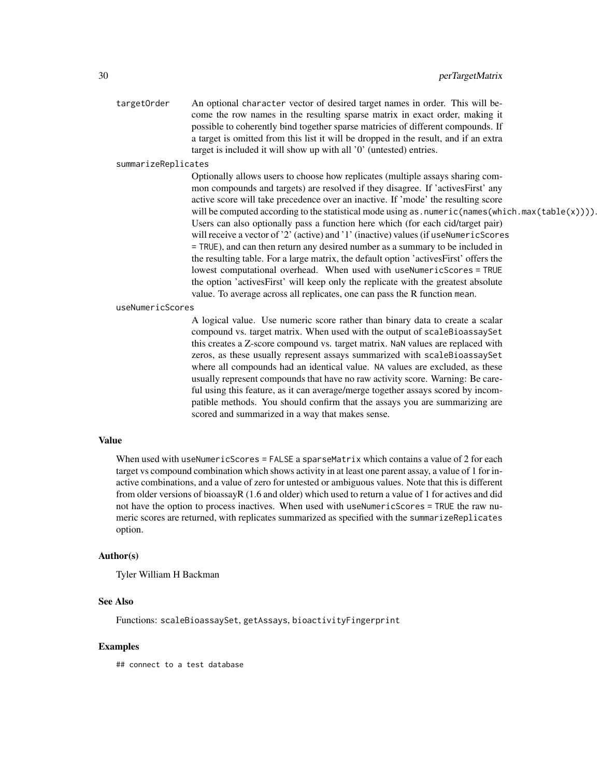targetOrder An optional character vector of desired target names in order. This will become the row names in the resulting sparse matrix in exact order, making it possible to coherently bind together sparse matricies of different compounds. If a target is omitted from this list it will be dropped in the result, and if an extra target is included it will show up with all '0' (untested) entries.

summarizeReplicates

Optionally allows users to choose how replicates (multiple assays sharing common compounds and targets) are resolved if they disagree. If 'activesFirst' any active score will take precedence over an inactive. If 'mode' the resulting score will be computed according to the statistical mode using as. numeric(names(which.max(table(x)))). Users can also optionally pass a function here which (for each cid/target pair) will receive a vector of '2' (active) and '1' (inactive) values (if useNumericScores = TRUE), and can then return any desired number as a summary to be included in the resulting table. For a large matrix, the default option 'activesFirst' offers the lowest computational overhead. When used with useNumericScores = TRUE the option 'activesFirst' will keep only the replicate with the greatest absolute value. To average across all replicates, one can pass the R function mean.

useNumericScores

A logical value. Use numeric score rather than binary data to create a scalar compound vs. target matrix. When used with the output of scaleBioassaySet this creates a Z-score compound vs. target matrix. NaN values are replaced with zeros, as these usually represent assays summarized with scaleBioassaySet where all compounds had an identical value. NA values are excluded, as these usually represent compounds that have no raw activity score. Warning: Be careful using this feature, as it can average/merge together assays scored by incompatible methods. You should confirm that the assays you are summarizing are scored and summarized in a way that makes sense.

## Value

When used with useNumericScores = FALSE a sparseMatrix which contains a value of 2 for each target vs compound combination which shows activity in at least one parent assay, a value of 1 for inactive combinations, and a value of zero for untested or ambiguous values. Note that this is different from older versions of bioassayR (1.6 and older) which used to return a value of 1 for actives and did not have the option to process inactives. When used with useNumericScores = TRUE the raw numeric scores are returned, with replicates summarized as specified with the summarizeReplicates option.

#### Author(s)

Tyler William H Backman

#### See Also

Functions: scaleBioassaySet, getAssays, bioactivityFingerprint

#### Examples

## connect to a test database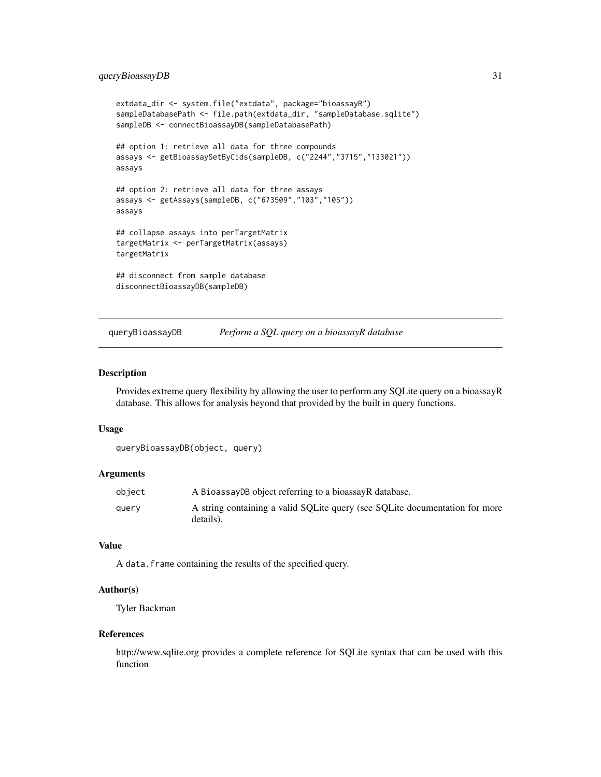## <span id="page-30-0"></span>queryBioassayDB 31

```
extdata_dir <- system.file("extdata", package="bioassayR")
sampleDatabasePath <- file.path(extdata_dir, "sampleDatabase.sqlite")
sampleDB <- connectBioassayDB(sampleDatabasePath)
## option 1: retrieve all data for three compounds
assays <- getBioassaySetByCids(sampleDB, c("2244","3715","133021"))
assays
## option 2: retrieve all data for three assays
assays <- getAssays(sampleDB, c("673509","103","105"))
assays
## collapse assays into perTargetMatrix
targetMatrix <- perTargetMatrix(assays)
targetMatrix
## disconnect from sample database
disconnectBioassayDB(sampleDB)
```
queryBioassayDB *Perform a SQL query on a bioassayR database*

#### Description

Provides extreme query flexibility by allowing the user to perform any SQLite query on a bioassayR database. This allows for analysis beyond that provided by the built in query functions.

#### Usage

```
queryBioassayDB(object, query)
```
## Arguments

| object | A BioassayDB object referring to a bioassayR database.                                   |
|--------|------------------------------------------------------------------------------------------|
| query  | A string containing a valid SQLite query (see SQLite documentation for more<br>details). |

## Value

A data.frame containing the results of the specified query.

#### Author(s)

Tyler Backman

#### References

http://www.sqlite.org provides a complete reference for SQLite syntax that can be used with this function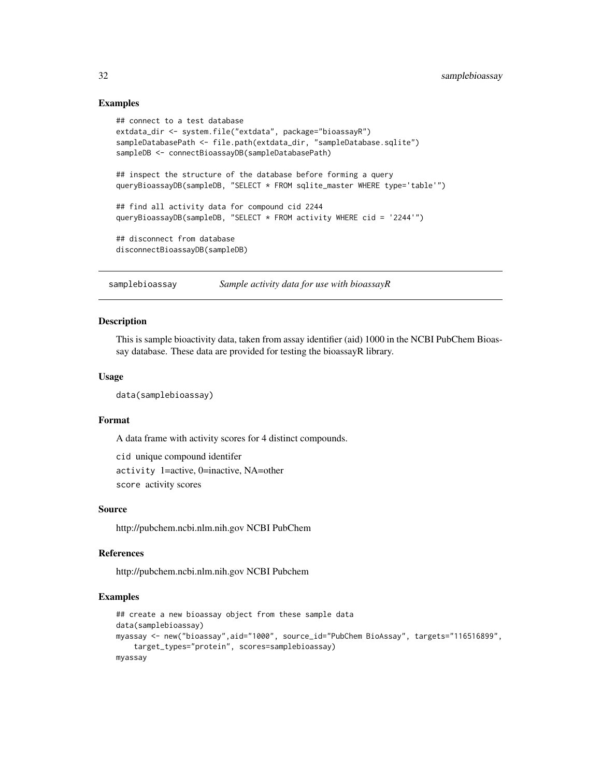## Examples

```
## connect to a test database
extdata_dir <- system.file("extdata", package="bioassayR")
sampleDatabasePath <- file.path(extdata_dir, "sampleDatabase.sqlite")
sampleDB <- connectBioassayDB(sampleDatabasePath)
## inspect the structure of the database before forming a query
queryBioassayDB(sampleDB, "SELECT * FROM sqlite_master WHERE type='table'")
## find all activity data for compound cid 2244
queryBioassayDB(sampleDB, "SELECT * FROM activity WHERE cid = '2244'")
## disconnect from database
disconnectBioassayDB(sampleDB)
```
samplebioassay *Sample activity data for use with bioassayR*

#### **Description**

This is sample bioactivity data, taken from assay identifier (aid) 1000 in the NCBI PubChem Bioassay database. These data are provided for testing the bioassayR library.

#### Usage

```
data(samplebioassay)
```
#### Format

A data frame with activity scores for 4 distinct compounds.

cid unique compound identifer activity 1=active, 0=inactive, NA=other score activity scores

#### Source

http://pubchem.ncbi.nlm.nih.gov NCBI PubChem

## References

http://pubchem.ncbi.nlm.nih.gov NCBI Pubchem

```
## create a new bioassay object from these sample data
data(samplebioassay)
myassay <- new("bioassay",aid="1000", source_id="PubChem BioAssay", targets="116516899",
    target_types="protein", scores=samplebioassay)
myassay
```
<span id="page-31-0"></span>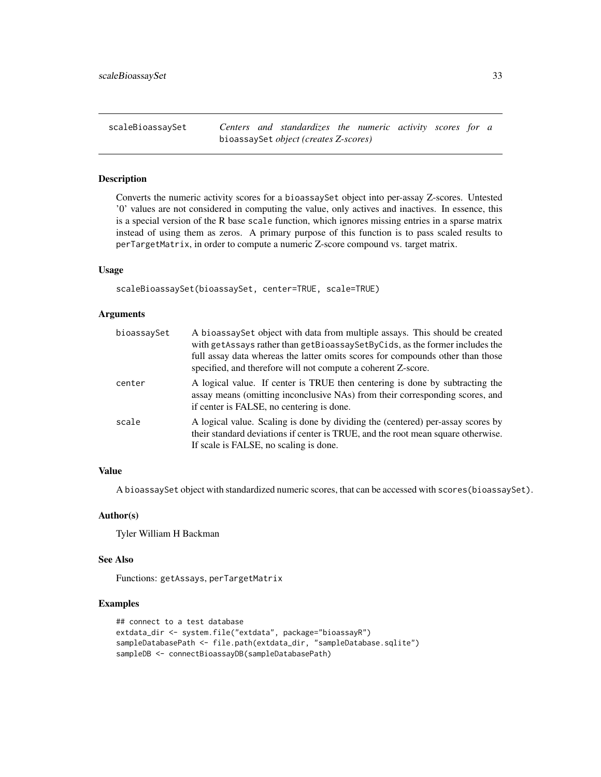<span id="page-32-0"></span>scaleBioassaySet *Centers and standardizes the numeric activity scores for a* bioassaySet *object (creates Z-scores)*

## Description

Converts the numeric activity scores for a bioassaySet object into per-assay Z-scores. Untested '0' values are not considered in computing the value, only actives and inactives. In essence, this is a special version of the R base scale function, which ignores missing entries in a sparse matrix instead of using them as zeros. A primary purpose of this function is to pass scaled results to perTargetMatrix, in order to compute a numeric Z-score compound vs. target matrix.

## Usage

```
scaleBioassaySet(bioassaySet, center=TRUE, scale=TRUE)
```
#### Arguments

| bioassaySet | A bioassaySet object with data from multiple assays. This should be created<br>with getAssays rather than getBioassaySetByCids, as the former includes the<br>full assay data whereas the latter omits scores for compounds other than those<br>specified, and therefore will not compute a coherent Z-score. |
|-------------|---------------------------------------------------------------------------------------------------------------------------------------------------------------------------------------------------------------------------------------------------------------------------------------------------------------|
| center      | A logical value. If center is TRUE then centering is done by subtracting the<br>assay means (omitting inconclusive NAs) from their corresponding scores, and<br>if center is FALSE, no centering is done.                                                                                                     |
| scale       | A logical value. Scaling is done by dividing the (centered) per-assay scores by<br>their standard deviations if center is TRUE, and the root mean square otherwise.<br>If scale is FALSE, no scaling is done.                                                                                                 |

#### Value

A bioassaySet object with standardized numeric scores, that can be accessed with scores(bioassaySet).

#### Author(s)

Tyler William H Backman

#### See Also

Functions: getAssays, perTargetMatrix

```
## connect to a test database
extdata_dir <- system.file("extdata", package="bioassayR")
sampleDatabasePath <- file.path(extdata_dir, "sampleDatabase.sqlite")
sampleDB <- connectBioassayDB(sampleDatabasePath)
```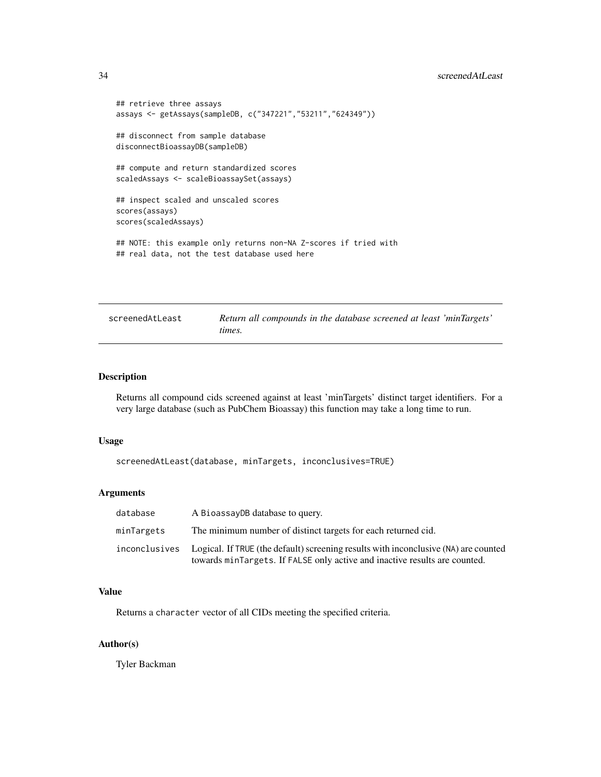```
## retrieve three assays
assays <- getAssays(sampleDB, c("347221","53211","624349"))
## disconnect from sample database
disconnectBioassayDB(sampleDB)
## compute and return standardized scores
scaledAssays <- scaleBioassaySet(assays)
## inspect scaled and unscaled scores
scores(assays)
scores(scaledAssays)
## NOTE: this example only returns non-NA Z-scores if tried with
## real data, not the test database used here
```

| screenedAtLeast | Return all compounds in the database screened at least 'minTargets' |
|-----------------|---------------------------------------------------------------------|
|                 | times.                                                              |

Returns all compound cids screened against at least 'minTargets' distinct target identifiers. For a very large database (such as PubChem Bioassay) this function may take a long time to run.

#### Usage

```
screenedAtLeast(database, minTargets, inconclusives=TRUE)
```
## Arguments

| database   | A BioassayDB database to query.                                                                                                                                                 |
|------------|---------------------------------------------------------------------------------------------------------------------------------------------------------------------------------|
| minTargets | The minimum number of distinct targets for each returned cid.                                                                                                                   |
|            | inconclusives Logical. If TRUE (the default) screening results with inconclusive (NA) are counted<br>towards minTargets. If FALSE only active and inactive results are counted. |

#### Value

Returns a character vector of all CIDs meeting the specified criteria.

#### Author(s)

Tyler Backman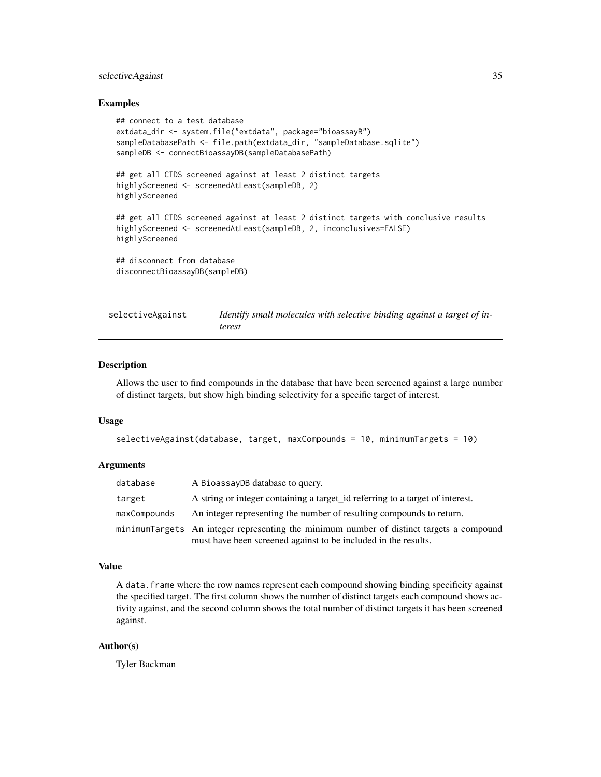## <span id="page-34-0"></span>selectiveAgainst 35

#### Examples

```
## connect to a test database
extdata_dir <- system.file("extdata", package="bioassayR")
sampleDatabasePath <- file.path(extdata_dir, "sampleDatabase.sqlite")
sampleDB <- connectBioassayDB(sampleDatabasePath)
## get all CIDS screened against at least 2 distinct targets
highlyScreened <- screenedAtLeast(sampleDB, 2)
highlyScreened
## get all CIDS screened against at least 2 distinct targets with conclusive results
highlyScreened <- screenedAtLeast(sampleDB, 2, inconclusives=FALSE)
highlyScreened
## disconnect from database
disconnectBioassayDB(sampleDB)
```

| selectiveAgainst | Identify small molecules with selective binding against a target of in- |
|------------------|-------------------------------------------------------------------------|
|                  | terest                                                                  |

#### Description

Allows the user to find compounds in the database that have been screened against a large number of distinct targets, but show high binding selectivity for a specific target of interest.

#### Usage

```
selectiveAgainst(database, target, maxCompounds = 10, minimumTargets = 10)
```
#### Arguments

| database     | A BioassayDB database to query.                                                                                                                            |
|--------------|------------------------------------------------------------------------------------------------------------------------------------------------------------|
| target       | A string or integer containing a target id referring to a target of interest.                                                                              |
| maxCompounds | An integer representing the number of resulting compounds to return.                                                                                       |
|              | minimumTargets An integer representing the minimum number of distinct targets a compound<br>must have been screened against to be included in the results. |

## Value

A data.frame where the row names represent each compound showing binding specificity against the specified target. The first column shows the number of distinct targets each compound shows activity against, and the second column shows the total number of distinct targets it has been screened against.

#### Author(s)

Tyler Backman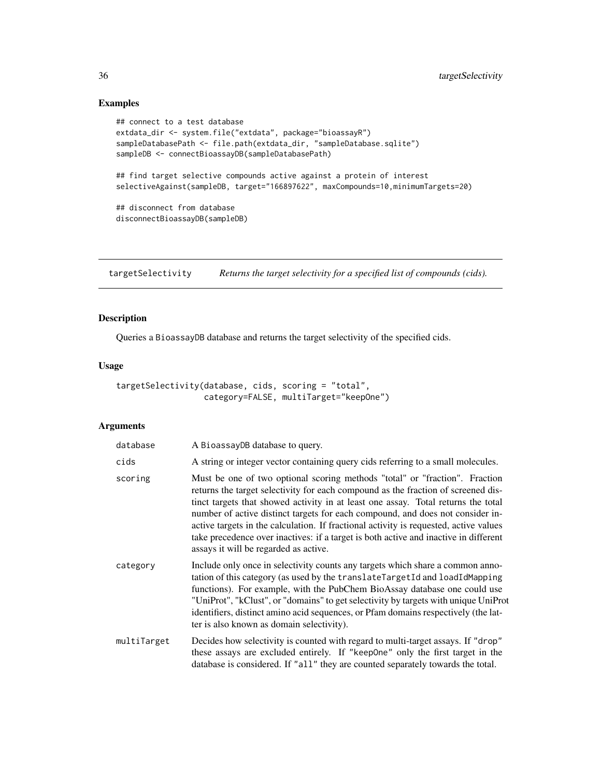## Examples

```
## connect to a test database
extdata_dir <- system.file("extdata", package="bioassayR")
sampleDatabasePath <- file.path(extdata_dir, "sampleDatabase.sqlite")
sampleDB <- connectBioassayDB(sampleDatabasePath)
## find target selective compounds active against a protein of interest
selectiveAgainst(sampleDB, target="166897622", maxCompounds=10,minimumTargets=20)
## disconnect from database
disconnectBioassayDB(sampleDB)
```
<span id="page-35-1"></span>targetSelectivity *Returns the target selectivity for a specified list of compounds (cids).*

## Description

Queries a BioassayDB database and returns the target selectivity of the specified cids.

#### Usage

```
targetSelectivity(database, cids, scoring = "total",
                  category=FALSE, multiTarget="keepOne")
```
## Arguments

| database    | A BioassayDB database to query.                                                                                                                                                                                                                                                                                                                                                                                                                                                                                                                                   |
|-------------|-------------------------------------------------------------------------------------------------------------------------------------------------------------------------------------------------------------------------------------------------------------------------------------------------------------------------------------------------------------------------------------------------------------------------------------------------------------------------------------------------------------------------------------------------------------------|
| cids        | A string or integer vector containing query cids referring to a small molecules.                                                                                                                                                                                                                                                                                                                                                                                                                                                                                  |
| scoring     | Must be one of two optional scoring methods "total" or "fraction". Fraction<br>returns the target selectivity for each compound as the fraction of screened dis-<br>tinct targets that showed activity in at least one assay. Total returns the total<br>number of active distinct targets for each compound, and does not consider in-<br>active targets in the calculation. If fractional activity is requested, active values<br>take precedence over inactives: if a target is both active and inactive in different<br>assays it will be regarded as active. |
| category    | Include only once in selectivity counts any targets which share a common anno-<br>tation of this category (as used by the translateTargetId and loadIdMapping<br>functions). For example, with the PubChem BioAssay database one could use<br>"UniProt", "kClust", or "domains" to get selectivity by targets with unique UniProt<br>identifiers, distinct amino acid sequences, or Pfam domains respectively (the lat-<br>ter is also known as domain selectivity).                                                                                              |
| multiTarget | Decides how selectivity is counted with regard to multi-target assays. If "drop"<br>these assays are excluded entirely. If "keepOne" only the first target in the<br>database is considered. If "all" they are counted separately towards the total.                                                                                                                                                                                                                                                                                                              |

<span id="page-35-0"></span>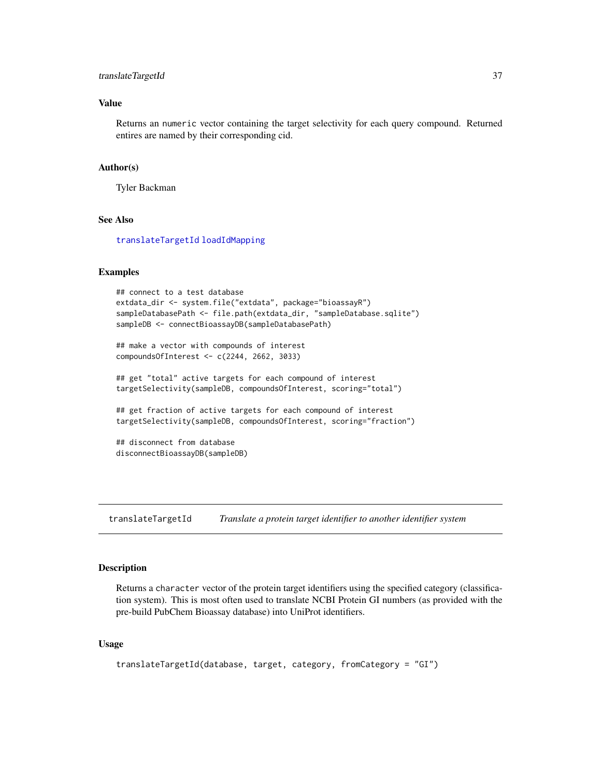## <span id="page-36-0"></span>translateTargetId 37

## Value

Returns an numeric vector containing the target selectivity for each query compound. Returned entires are named by their corresponding cid.

#### Author(s)

Tyler Backman

#### See Also

[translateTargetId](#page-36-1) [loadIdMapping](#page-25-1)

#### Examples

```
## connect to a test database
extdata_dir <- system.file("extdata", package="bioassayR")
sampleDatabasePath <- file.path(extdata_dir, "sampleDatabase.sqlite")
sampleDB <- connectBioassayDB(sampleDatabasePath)
## make a vector with compounds of interest
compoundsOfInterest <- c(2244, 2662, 3033)
## get "total" active targets for each compound of interest
targetSelectivity(sampleDB, compoundsOfInterest, scoring="total")
## get fraction of active targets for each compound of interest
targetSelectivity(sampleDB, compoundsOfInterest, scoring="fraction")
## disconnect from database
disconnectBioassayDB(sampleDB)
```
<span id="page-36-1"></span>translateTargetId *Translate a protein target identifier to another identifier system*

## **Description**

Returns a character vector of the protein target identifiers using the specified category (classification system). This is most often used to translate NCBI Protein GI numbers (as provided with the pre-build PubChem Bioassay database) into UniProt identifiers.

#### Usage

```
translateTargetId(database, target, category, fromCategory = "GI")
```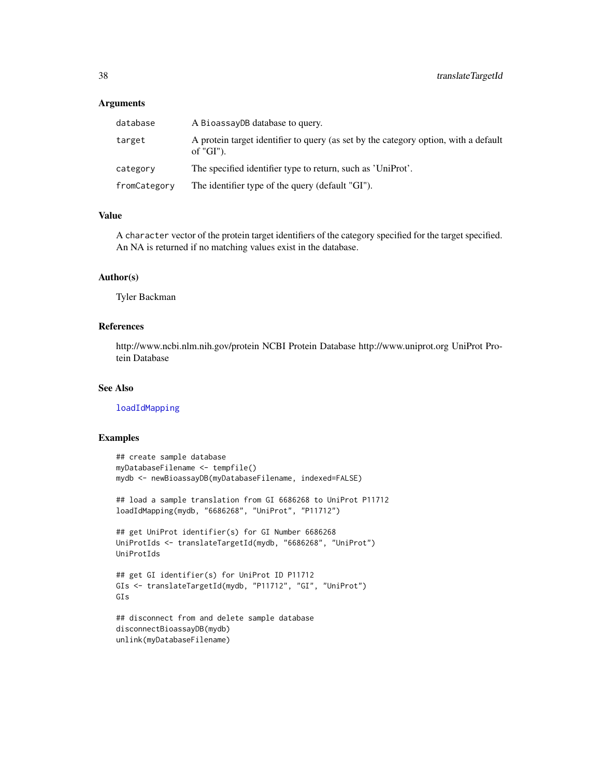#### <span id="page-37-0"></span>**Arguments**

| database     | A BioassayDB database to query.                                                                      |
|--------------|------------------------------------------------------------------------------------------------------|
| target       | A protein target identifier to query (as set by the category option, with a default<br>of " $GI$ "). |
| category     | The specified identifier type to return, such as 'UniProt'.                                          |
| fromCategory | The identifier type of the query (default "GI").                                                     |

## Value

A character vector of the protein target identifiers of the category specified for the target specified. An NA is returned if no matching values exist in the database.

#### Author(s)

Tyler Backman

#### References

http://www.ncbi.nlm.nih.gov/protein NCBI Protein Database http://www.uniprot.org UniProt Protein Database

## See Also

#### [loadIdMapping](#page-25-1)

```
## create sample database
myDatabaseFilename <- tempfile()
mydb <- newBioassayDB(myDatabaseFilename, indexed=FALSE)
## load a sample translation from GI 6686268 to UniProt P11712
loadIdMapping(mydb, "6686268", "UniProt", "P11712")
## get UniProt identifier(s) for GI Number 6686268
UniProtIds <- translateTargetId(mydb, "6686268", "UniProt")
UniProtIds
## get GI identifier(s) for UniProt ID P11712
GIs <- translateTargetId(mydb, "P11712", "GI", "UniProt")
GIs
## disconnect from and delete sample database
disconnectBioassayDB(mydb)
unlink(myDatabaseFilename)
```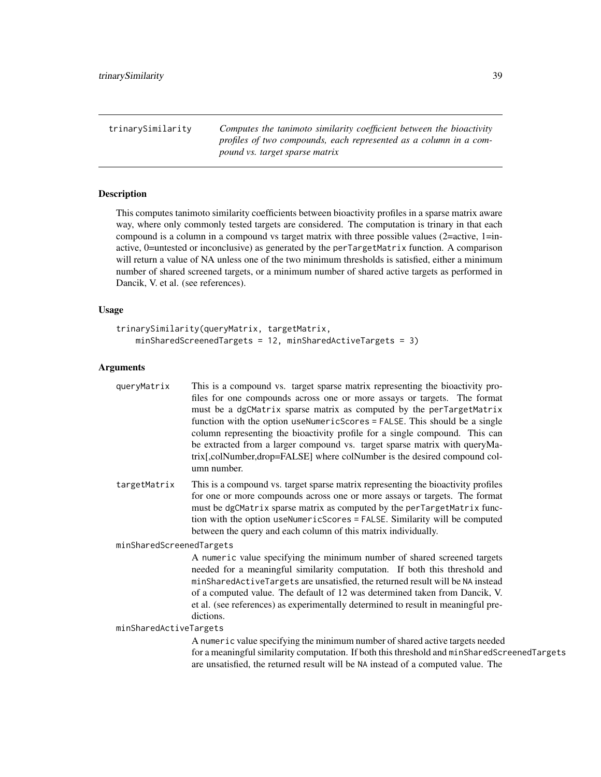<span id="page-38-0"></span>

| trinarvSimilaritv | Computes the tanimoto similarity coefficient between the bioactivity<br>profiles of two compounds, each represented as a column in a com-<br>pound vs. target sparse matrix |
|-------------------|-----------------------------------------------------------------------------------------------------------------------------------------------------------------------------|
|                   |                                                                                                                                                                             |

This computes tanimoto similarity coefficients between bioactivity profiles in a sparse matrix aware way, where only commonly tested targets are considered. The computation is trinary in that each compound is a column in a compound vs target matrix with three possible values  $(2 = active, 1 = in-)$ active, 0=untested or inconclusive) as generated by the perTargetMatrix function. A comparison will return a value of NA unless one of the two minimum thresholds is satisfied, either a minimum number of shared screened targets, or a minimum number of shared active targets as performed in Dancik, V. et al. (see references).

#### Usage

```
trinarySimilarity(queryMatrix, targetMatrix,
   minSharedScreenedTargets = 12, minSharedActiveTargets = 3)
```
#### Arguments

```
queryMatrix This is a compound vs. target sparse matrix representing the bioactivity pro-
                 files for one compounds across one or more assays or targets. The format
                 must be a dgCMatrix sparse matrix as computed by the perTargetMatrix
                 function with the option useNumericScores = FALSE. This should be a single
                 column representing the bioactivity profile for a single compound. This can
                 be extracted from a larger compound vs. target sparse matrix with queryMa-
                 trix[,colNumber,drop=FALSE] where colNumber is the desired compound col-
                 umn number.
```
targetMatrix This is a compound vs. target sparse matrix representing the bioactivity profiles for one or more compounds across one or more assays or targets. The format must be dgCMatrix sparse matrix as computed by the perTargetMatrix function with the option useNumericScores = FALSE. Similarity will be computed between the query and each column of this matrix individually.

minSharedScreenedTargets

A numeric value specifying the minimum number of shared screened targets needed for a meaningful similarity computation. If both this threshold and minSharedActiveTargets are unsatisfied, the returned result will be NA instead of a computed value. The default of 12 was determined taken from Dancik, V. et al. (see references) as experimentally determined to result in meaningful predictions.

minSharedActiveTargets

A numeric value specifying the minimum number of shared active targets needed for a meaningful similarity computation. If both this threshold and minSharedScreenedTargets are unsatisfied, the returned result will be NA instead of a computed value. The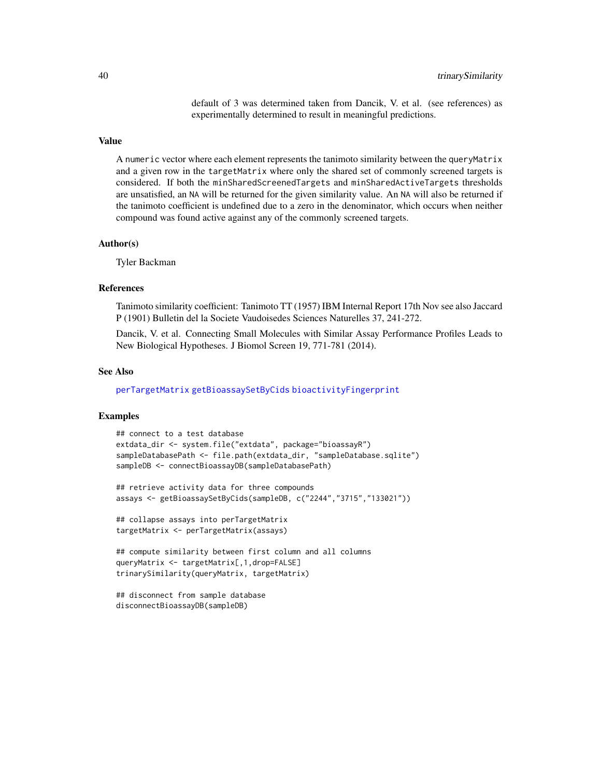default of 3 was determined taken from Dancik, V. et al. (see references) as experimentally determined to result in meaningful predictions.

## <span id="page-39-0"></span>Value

A numeric vector where each element represents the tanimoto similarity between the queryMatrix and a given row in the targetMatrix where only the shared set of commonly screened targets is considered. If both the minSharedScreenedTargets and minSharedActiveTargets thresholds are unsatisfied, an NA will be returned for the given similarity value. An NA will also be returned if the tanimoto coefficient is undefined due to a zero in the denominator, which occurs when neither compound was found active against any of the commonly screened targets.

#### Author(s)

Tyler Backman

#### References

Tanimoto similarity coefficient: Tanimoto TT (1957) IBM Internal Report 17th Nov see also Jaccard P (1901) Bulletin del la Societe Vaudoisedes Sciences Naturelles 37, 241-272.

Dancik, V. et al. Connecting Small Molecules with Similar Assay Performance Profiles Leads to New Biological Hypotheses. J Biomol Screen 19, 771-781 (2014).

## See Also

[perTargetMatrix](#page-28-1) [getBioassaySetByCids](#page-22-1) [bioactivityFingerprint](#page-9-1)

```
## connect to a test database
extdata_dir <- system.file("extdata", package="bioassayR")
sampleDatabasePath <- file.path(extdata_dir, "sampleDatabase.sqlite")
sampleDB <- connectBioassayDB(sampleDatabasePath)
```

```
## retrieve activity data for three compounds
assays <- getBioassaySetByCids(sampleDB, c("2244","3715","133021"))
```

```
## collapse assays into perTargetMatrix
targetMatrix <- perTargetMatrix(assays)
```

```
## compute similarity between first column and all columns
queryMatrix <- targetMatrix[,1,drop=FALSE]
trinarySimilarity(queryMatrix, targetMatrix)
```

```
## disconnect from sample database
disconnectBioassayDB(sampleDB)
```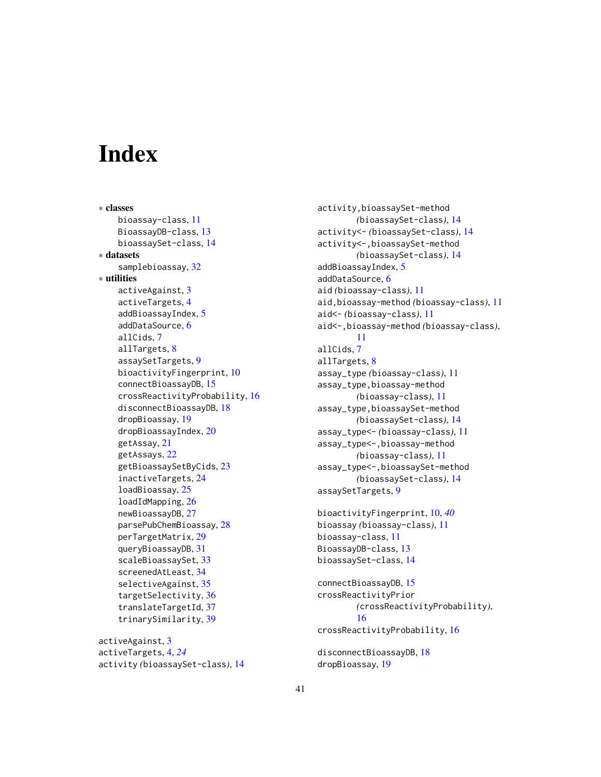# <span id="page-40-0"></span>**Index**

∗ classes bioassay-class, [11](#page-10-0) BioassayDB-class, [13](#page-12-0) bioassaySet-class, [14](#page-13-0) ∗ datasets samplebioassay, [32](#page-31-0) ∗ utilities activeAgainst, [3](#page-2-0) activeTargets, [4](#page-3-0) addBioassayIndex, [5](#page-4-0) addDataSource, [6](#page-5-0) allCids, [7](#page-6-0) allTargets, [8](#page-7-0) assaySetTargets, [9](#page-8-0) bioactivityFingerprint, [10](#page-9-0) connectBioassayDB, [15](#page-14-0) crossReactivityProbability, [16](#page-15-0) disconnectBioassayDB, [18](#page-17-0) dropBioassay, [19](#page-18-0) dropBioassayIndex, [20](#page-19-0) getAssay, [21](#page-20-0) getAssays, [22](#page-21-0) getBioassaySetByCids, [23](#page-22-0) inactiveTargets, [24](#page-23-0) loadBioassay, [25](#page-24-0) loadIdMapping, [26](#page-25-0) newBioassayDB, [27](#page-26-0) parsePubChemBioassay, [28](#page-27-0) perTargetMatrix, [29](#page-28-0) queryBioassayDB, [31](#page-30-0) scaleBioassaySet, [33](#page-32-0) screenedAtLeast, [34](#page-33-0) selectiveAgainst, [35](#page-34-0) targetSelectivity, [36](#page-35-0) translateTargetId, [37](#page-36-0) trinarySimilarity, [39](#page-38-0)

activeAgainst, [3](#page-2-0) activeTargets, [4,](#page-3-0) *[24](#page-23-0)* activity *(*bioassaySet-class*)*, [14](#page-13-0) activity,bioassaySet-method *(*bioassaySet-class*)*, [14](#page-13-0) activity<- *(*bioassaySet-class*)*, [14](#page-13-0) activity<-,bioassaySet-method *(*bioassaySet-class*)*, [14](#page-13-0) addBioassayIndex, [5](#page-4-0) addDataSource, [6](#page-5-0) aid *(*bioassay-class*)*, [11](#page-10-0) aid,bioassay-method *(*bioassay-class*)*, [11](#page-10-0) aid<- *(*bioassay-class*)*, [11](#page-10-0) aid<-,bioassay-method *(*bioassay-class*)*, [11](#page-10-0) allCids, [7](#page-6-0) allTargets, [8](#page-7-0) assay\_type *(*bioassay-class*)*, [11](#page-10-0) assay\_type,bioassay-method *(*bioassay-class*)*, [11](#page-10-0) assay\_type,bioassaySet-method *(*bioassaySet-class*)*, [14](#page-13-0) assay\_type<- *(*bioassay-class*)*, [11](#page-10-0) assay\_type<-,bioassay-method *(*bioassay-class*)*, [11](#page-10-0) assay\_type<-,bioassaySet-method *(*bioassaySet-class*)*, [14](#page-13-0) assaySetTargets, [9](#page-8-0)

```
bioactivityFingerprint, 10, 40
bioassay (bioassay-class), 11
bioassay-class, 11
BioassayDB-class, 13
bioassaySet-class, 14
```

```
connectBioassayDB, 15
crossReactivityPrior
        (crossReactivityProbability),
        16
crossReactivityProbability, 16
```

```
disconnectBioassayDB, 18
dropBioassay, 19
```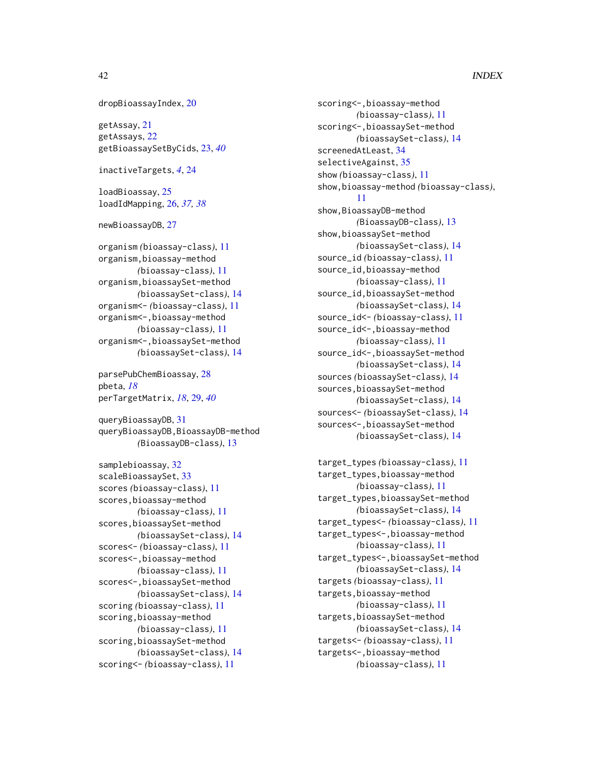```
42 INDEX
dropBioassayIndex, 20
getAssay, 21
getAssays, 22
getBioassaySetByCids, 23, 40
inactiveTargets, 4, 24
loadBioassay, 25
loadIdMapping, 26, 37, 38
newBioassayDB, 27
organism (bioassay-class), 11
organism,bioassay-method
       (bioassay-class), 11
organism,bioassaySet-method
       (bioassaySet-class), 14
organism<- (bioassay-class), 11
organism<-,bioassay-method
       (bioassay-class), 11
organism<-,bioassaySet-method
       (bioassaySet-class), 14
parsePubChemBioassay, 28
pbeta, 18
perTargetMatrix, 18, 29, 40
queryBioassayDB, 31
queryBioassayDB,BioassayDB-method
       (BioassayDB-class), 13
samplebioassay, 32
scaleBioassaySet, 33
scores (bioassay-class), 11
```
scores,bioassay-method *(*bioassay-class*)*, [11](#page-10-0) scores,bioassaySet-method *(*bioassaySet-class*)*, [14](#page-13-0) scores<- *(*bioassay-class*)*, [11](#page-10-0) scores<-,bioassay-method *(*bioassay-class*)*, [11](#page-10-0) scores<-,bioassaySet-method *(*bioassaySet-class*)*, [14](#page-13-0) scoring *(*bioassay-class*)*, [11](#page-10-0) scoring,bioassay-method *(*bioassay-class*)*, [11](#page-10-0) scoring,bioassaySet-method *(*bioassaySet-class*)*, [14](#page-13-0) scoring<- *(*bioassay-class*)*, [11](#page-10-0)

scoring<-,bioassay-method *(*bioassay-class*)*, [11](#page-10-0) scoring<-,bioassaySet-method *(*bioassaySet-class*)*, [14](#page-13-0) screenedAtLeast, [34](#page-33-0) selectiveAgainst, [35](#page-34-0) show *(*bioassay-class*)*, [11](#page-10-0) show,bioassay-method *(*bioassay-class*)*, [11](#page-10-0) show,BioassayDB-method *(*BioassayDB-class*)*, [13](#page-12-0) show,bioassaySet-method *(*bioassaySet-class*)*, [14](#page-13-0) source\_id *(*bioassay-class*)*, [11](#page-10-0) source\_id,bioassay-method *(*bioassay-class*)*, [11](#page-10-0) source\_id,bioassaySet-method *(*bioassaySet-class*)*, [14](#page-13-0) source\_id<- *(*bioassay-class*)*, [11](#page-10-0) source\_id<-,bioassay-method *(*bioassay-class*)*, [11](#page-10-0) source\_id<-,bioassaySet-method *(*bioassaySet-class*)*, [14](#page-13-0) sources *(*bioassaySet-class*)*, [14](#page-13-0) sources,bioassaySet-method *(*bioassaySet-class*)*, [14](#page-13-0) sources<- *(*bioassaySet-class*)*, [14](#page-13-0) sources<-,bioassaySet-method *(*bioassaySet-class*)*, [14](#page-13-0)

```
target_types (bioassay-class), 11
target_types,bioassay-method
        (bioassay-class), 11
target_types,bioassaySet-method
        (bioassaySet-class), 14
target_types<- (bioassay-class), 11
target_types<-,bioassay-method
        (bioassay-class), 11
target_types<-,bioassaySet-method
        (bioassaySet-class), 14
targets (bioassay-class), 11
targets,bioassay-method
        (bioassay-class), 11
targets,bioassaySet-method
        (bioassaySet-class), 14
targets<- (bioassay-class), 11
targets<-,bioassay-method
        (bioassay-class), 11
```